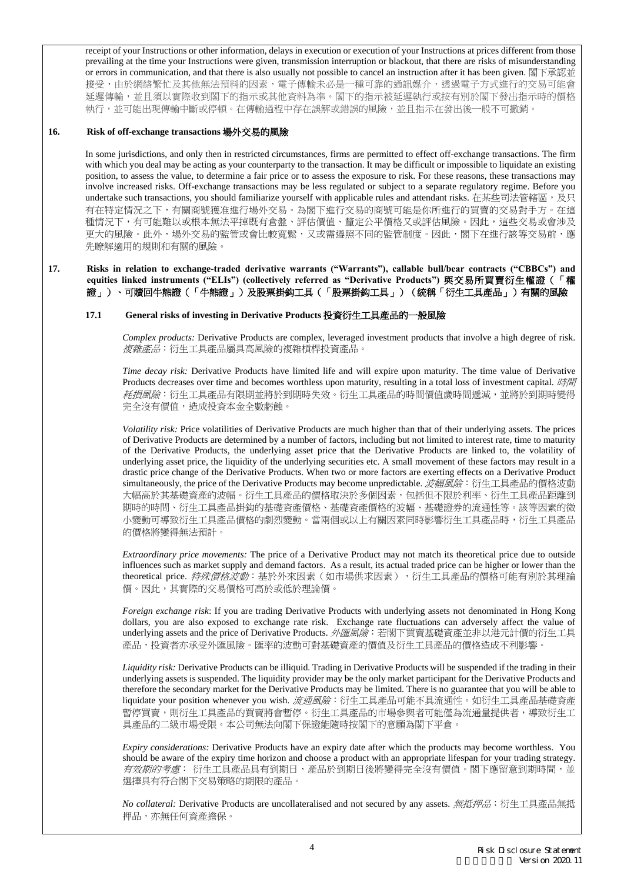receipt of your Instructions or other information, delays in execution or execution of your Instructions at prices different from those prevailing at the time your Instructions were given, transmission interruption or blackout, that there are risks of misunderstanding or errors in communication, and that there is also usually not possible to cancel an instruction after it has been given. 閣下承認並 接受,由於網絡繁忙及其他無法預料的因素,電子傳輸未必是一種可靠的通訊媒介,透過電子方式進行的交易可能會 延遲傳輸,並且須以實際收到閣下的指示或其他資料為準。閣下的指示被延遲執行或按有別於閣下發出指示時的價格 執行,並可能出現傳輸中斷或停頓。在傳輸過程中存在誤解或錯誤的風險,並且指示在發出後一般不可撤銷。

### **16. Risk of off-exchange transactions** 場外交易的風險

In some jurisdictions, and only then in restricted circumstances, firms are permitted to effect off-exchange transactions. The firm with which you deal may be acting as your counterparty to the transaction. It may be difficult or impossible to liquidate an existing position, to assess the value, to determine a fair price or to assess the exposure to risk. For these reasons, these transactions may involve increased risks. Off-exchange transactions may be less regulated or subject to a separate regulatory regime. Before you undertake such transactions, you should familiarize yourself with applicable rules and attendant risks. 在某些司法管轄區,及只 有在特定情況之下,有關商號獲准進行場外交易。為閣下進行交易的商號可能是你所進行的買賣的交易對手方。在這 種情況下,有可能難以或根本無法平掉既有倉盤、評估價值、釐定公平價格又或評估風險。因此,這些交易或會涉及 更大的風險。此外,場外交易的監管或會比較寬鬆,又或需遵照不同的監管制度。因此,閣下在進行該等交易前,應 先瞭解適用的規則和有關的風險。

### **17. Risks in relation to exchange-traded derivative warrants ("Warrants"), callable bull/bear contracts ("CBBCs") and equities linked instruments ("ELIs") (collectively referred as "Derivative Products")** 與交易所買賣衍生權證(「權 證」)、可贖回牛熊證(「牛熊證」)及股票掛鈎工具(「股票掛鈎工具」)(統稱「衍生工具產品」)有關的風險

### **17.1 General risks of investing in Derivative Products** 投資衍生工具產品的一般風險

*Complex products:* Derivative Products are complex, leveraged investment products that involve a high degree of risk. 複雜產品:衍生工具產品屬具高風險的複雜槓桿投資產品。

*Time decay risk:* Derivative Products have limited life and will expire upon maturity. The time value of Derivative Products decreases over time and becomes worthless upon maturity, resulting in a total loss of investment capital. 時間 耗損風險:衍生工具產品有限期並將於到期時失效。衍生工具產品的時間價值歲時間遞減,並將於到期時變得 完全沒有價值,造成投資本金全數虧蝕。

*Volatility risk:* Price volatilities of Derivative Products are much higher than that of their underlying assets. The prices of Derivative Products are determined by a number of factors, including but not limited to interest rate, time to maturity of the Derivative Products, the underlying asset price that the Derivative Products are linked to, the volatility of underlying asset price, the liquidity of the underlying securities etc. A small movement of these factors may result in a drastic price change of the Derivative Products. When two or more factors are exerting effects on a Derivative Product simultaneously, the price of the Derivative Products may become unpredictable. *波幅風險*: 衍生工具產品的價格波動 大幅高於其基礎資產的波幅。衍生工具產品的價格取決於多個因素,包括但不限於利率、衍生工具產品距離到 期時的時間、衍生工具產品掛鈎的基礎資產價格、基礎資產價格的波幅、基礎證券的流通性等。該等因素的微 小變動可導致衍生工具產品價格的劇烈變動。當兩個或以上有關因素同時影響衍生工具產品時,衍生工具產品 的價格將變得無法預計。

*Extraordinary price movements:* The price of a Derivative Product may not match its theoretical price due to outside influences such as market supply and demand factors. As a result, its actual traded price can be higher or lower than the theoretical price. 特殊價格波動: 基於外來因素(如市場供求因素),衍生工具產品的價格可能有別於其理論 價。因此,其實際的交易價格可高於或低於理論價。

*Foreign exchange risk*: If you are trading Derivative Products with underlying assets not denominated in Hong Kong dollars, you are also exposed to exchange rate risk. Exchange rate fluctuations can adversely affect the value of underlying assets and the price of Derivative Products. 外匯風險:若閣下買賣基礎資產並非以港元計價的衍生工具 產品,投資者亦承受外匯風險。匯率的波動可對基礎資產的價值及衍生工具產品的價格造成不利影響。

*Liquidity risk:* Derivative Products can be illiquid. Trading in Derivative Products will be suspended if the trading in their underlying assets is suspended. The liquidity provider may be the only market participant for the Derivative Products and therefore the secondary market for the Derivative Products may be limited. There is no guarantee that you will be able to liquidate your position whenever you wish. *流通風險*: 衍生工具產品可能不具流通性。如衍生工具產品基礎資產 暫停買賣,則衍生工具產品的買賣將會暫停。衍生工具產品的市場參與者可能僅為流通量提供者,導致衍生工 具產品的二級市場受限。本公司無法向閣下保證能隨時按閣下的意願為閣下平倉。

*Expiry considerations:* Derivative Products have an expiry date after which the products may become worthless. You should be aware of the expiry time horizon and choose a product with an appropriate lifespan for your trading strategy. 有效期的考慮: 衍生工具產品具有到期日,產品於到期日後將變得完全沒有價值。閣下應留意到期時間,並 選擇具有符合閣下交易策略的期限的產品。

*No collateral:* Derivative Products are uncollateralised and not secured by any assets. 無抵押品:衍生工具產品無抵 押品,亦無任何資產擔保。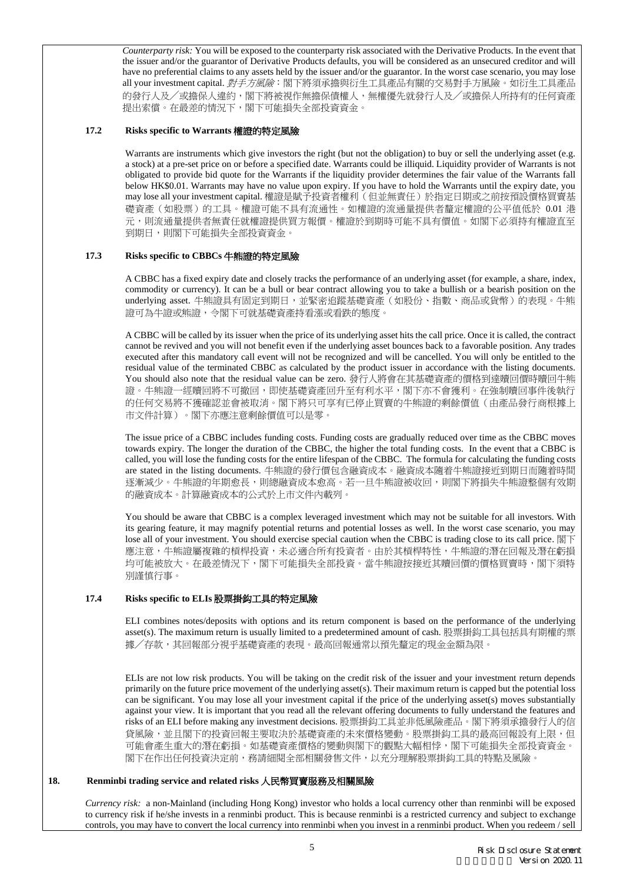*Counterparty risk:* You will be exposed to the counterparty risk associated with the Derivative Products. In the event that the issuer and/or the guarantor of Derivative Products defaults, you will be considered as an unsecured creditor and will have no preferential claims to any assets held by the issuer and/or the guarantor. In the worst case scenario, you may lose all your investment capital. 對手方風險:閣下將須承擔與衍生工具產品有關的交易對手方風險。如衍生工具產品 的發行人及╱或擔保人違約,閣下將被視作無擔保債權人,無權優先就發行人及╱或擔保人所持有的任何資產 提出索償。在最差的情況下,閣下可能損失全部投資資金。

#### **17.2 Risks specific to Warrants** 權證的特定風險

Warrants are instruments which give investors the right (but not the obligation) to buy or sell the underlying asset (e.g. a stock) at a pre-set price on or before a specified date. Warrants could be illiquid. Liquidity provider of Warrants is not obligated to provide bid quote for the Warrants if the liquidity provider determines the fair value of the Warrants fall below HK\$0.01. Warrants may have no value upon expiry. If you have to hold the Warrants until the expiry date, you may lose all your investment capital. 權證是賦予投資者權利(但並無責任)於指定日期或之前按預設價格買賣基 礎資產(如股票)的工具。權證可能不具有流通性。如權證的流通量提供者釐定權證的公平值低於 0.01 港 元,則流通量提供者無責任就權證提供買方報價。權證於到期時可能不具有價值。如閣下必須持有權證直至 到期日,則閣下可能損失全部投資資金。

#### **17.3 Risks specific to CBBCs** 牛熊證的特定風險

A CBBC has a fixed expiry date and closely tracks the performance of an underlying asset (for example, a share, index, commodity or currency). It can be a bull or bear contract allowing you to take a bullish or a bearish position on the underlying asset. 牛熊證具有固定到期日,並緊密追蹤基礎資產(如股份、指數、商品或貨幣)的表現。牛熊 證可為牛證或熊證,令閣下可就基礎資產持看漲或看跌的態度。

A CBBC will be called by its issuer when the price of its underlying asset hits the call price. Once it is called, the contract cannot be revived and you will not benefit even if the underlying asset bounces back to a favorable position. Any trades executed after this mandatory call event will not be recognized and will be cancelled. You will only be entitled to the residual value of the terminated CBBC as calculated by the product issuer in accordance with the listing documents. You should also note that the residual value can be zero. 發行人將會在其基礎資產的價格到達贖回價時贖回牛熊 證。牛熊證一經贖回將不可撤回,即使基礎資產回升至有利水平,閣下亦不會獲利。在強制贖回事件後執行 的任何交易將不獲確認並會被取消。閣下將只可享有已停止買賣的牛熊證的剩餘價值(由產品發行商根據上 市文件計算)。閣下亦應注意剩餘價值可以是零。

The issue price of a CBBC includes funding costs. Funding costs are gradually reduced over time as the CBBC moves towards expiry. The longer the duration of the CBBC, the higher the total funding costs. In the event that a CBBC is called, you will lose the funding costs for the entire lifespan of the CBBC. The formula for calculating the funding costs are stated in the listing documents. 牛熊證的發行價包含融資成本。融資成本隨着牛熊證接近到期日而隨着時間 逐漸減少。牛熊證的年期愈長,則總融資成本愈高。若一旦牛熊證被收回,則閣下將損失牛熊證整個有效期 的融資成本。計算融資成本的公式於上市文件內載列。

You should be aware that CBBC is a complex leveraged investment which may not be suitable for all investors. With its gearing feature, it may magnify potential returns and potential losses as well. In the worst case scenario, you may lose all of your investment. You should exercise special caution when the CBBC is trading close to its call price. 閣下 應注意,牛熊證屬複雜的槓桿投資,未必適合所有投資者。由於其槓桿特性,牛熊證的潛在回報及潛在虧損 均可能被放大。在最差情況下,閣下可能損失全部投資。當牛熊證按接近其贖回價的價格買賣時,閣下須特 別謹慎行事。

### **17.4 Risks specific to ELIs** 股票掛鈎工具的特定風險

ELI combines notes/deposits with options and its return component is based on the performance of the underlying asset(s). The maximum return is usually limited to a predetermined amount of cash. 股票掛鈎工具包括具有期權的票 據╱存款,其回報部分視乎基礎資產的表現。最高回報通常以預先釐定的現金金額為限。

ELIs are not low risk products. You will be taking on the credit risk of the issuer and your investment return depends primarily on the future price movement of the underlying asset(s). Their maximum return is capped but the potential loss can be significant. You may lose all your investment capital if the price of the underlying asset(s) moves substantially against your view. It is important that you read all the relevant offering documents to fully understand the features and risks of an ELI before making any investment decisions. 股票掛鈎工具並非低風險產品。閣下將須承擔發行人的信 貸風險,並且閣下的投資回報主要取決於基礎資產的未來價格變動。股票掛鈎工具的最高回報設有上限,但 可能會產生重大的潛在虧損。如基礎資產價格的變動與閣下的觀點大幅相悖,閣下可能損失全部投資資金。 閣下在作出任何投資決定前,務請細閱全部相關發售文件,以充分理解股票掛鈎工具的特點及風險。

#### **18. Renminbi trading service and related risks** 人民幣買賣服務及相關風險

*Currency risk:* a non-Mainland (including Hong Kong) investor who holds a local currency other than renminbi will be exposed to currency risk if he/she invests in a renminbi product. This is because renminbi is a restricted currency and subject to exchange controls, you may have to convert the local currency into renminbi when you invest in a renminbi product. When you redeem / sell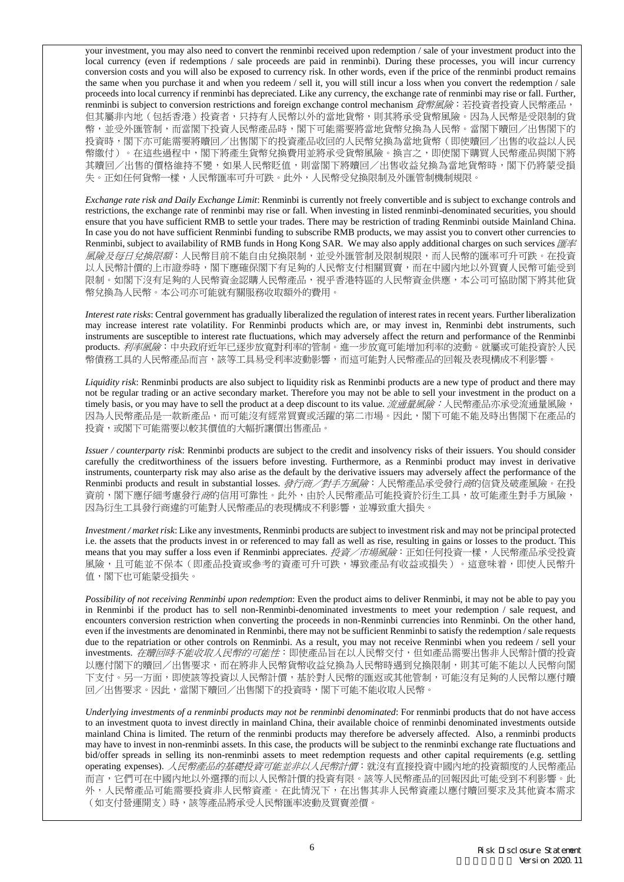your investment, you may also need to convert the renminbi received upon redemption / sale of your investment product into the local currency (even if redemptions / sale proceeds are paid in renminbi). During these processes, you will incur currency conversion costs and you will also be exposed to currency risk. In other words, even if the price of the renminbi product remains the same when you purchase it and when you redeem / sell it, you will still incur a loss when you convert the redemption / sale proceeds into local currency if renminbi has depreciated. Like any currency, the exchange rate of renminbi may rise or fall. Further, renminbi is subject to conversion restrictions and foreign exchange control mechanism 貨幣風險: 若投資者投資人民幣產品 但其屬非内地(包括香港)投資者,只持有人民幣以外的當地貨幣,則其將承受貨幣風險。因為人民幣是受限制的貨 幣,並受外匯管制,而當閣下投資人民幣產品時,閣下可能需要將當地貨幣兌換為人民幣。當閣下贖回/出售閣下的 投資時,閣下亦可能需要將贖回/出售閣下的投資產品收回的人民幣兌換為當地貨幣(即使贖回/出售的收益以人民 幣繳付)。在這些過程中,閣下將產生貨幣兌換費用並將承受貨幣風險。換言之,即使閣下購買人民幣產品與閣下將 其贖回/出售的價格維持不變,如果人民幣貶值,則當閣下將贖回/出售收益兌換為當地貨幣時,閣下仍將蒙受損 失。正如任何貨幣一樣,人民幣匯率可升可跌。此外,人民幣受兌換限制及外匯管制機制規限。

*Exchange rate risk and Daily Exchange Limit*: Renminbi is currently not freely convertible and is subject to exchange controls and restrictions, the exchange rate of renminbi may rise or fall. When investing in listed renminbi-denominated securities, you should ensure that you have sufficient RMB to settle your trades. There may be restriction of trading Renminbi outside Mainland China. In case you do not have sufficient Renminbi funding to subscribe RMB products, we may assist you to convert other currencies to Renminbi, subject to availability of RMB funds in Hong Kong SAR. We may also apply additional charges on such services 匯率 風險及每日兌換限額:人民幣目前不能自由兌換限制,並受外匯管制及限制規限,而人民幣的匯率可升可跌。在投資 以人民幣計價的上市證券時,閣下應確保閣下有足夠的人民幣支付相關買賣,而在中國內地以外買賣人民幣可能受到 限制。如閣下沒有足夠的人民幣資金認購人民幣產品,視乎香港特區的人民幣資金供應,本公司可協助閣下將其他貨 幣兌換為人民幣。本公司亦可能就有關服務收取額外的費用。

*Interest rate risks*: Central government has gradually liberalized the regulation of interest rates in recent years. Further liberalization may increase interest rate volatility. For Renminbi products which are, or may invest in, Renminbi debt instruments, such instruments are susceptible to interest rate fluctuations, which may adversely affect the return and performance of the Renminbi products. 利率風險: 中央政府近年已逐步放寬對利率的管制。進一步放寬可能增加利率的波動。就屬或可能投資於人民 幣債務工具的人民幣產品而言,該等工具易受利率波動影響,而這可能對人民幣產品的回報及表現構成不利影響。

*Liquidity risk*: Renminbi products are also subject to liquidity risk as Renminbi products are a new type of product and there may not be regular trading or an active secondary market. Therefore you may not be able to sell your investment in the product on a timely basis, or you may have to sell the product at a deep discount to its value. *流通量風險:* 人民幣產品亦承受流通量風險, 因為人民幣產品是一款新產品,而可能沒有經常買賣或活躍的第二市場。因此,閣下可能不能及時出售閣下在產品的 投資,或閣下可能需要以較其價值的大幅折讓價出售產品。

*Issuer / counterparty risk*: Renminbi products are subject to the credit and insolvency risks of their issuers. You should consider carefully the creditworthiness of the issuers before investing. Furthermore, as a Renminbi product may invest in derivative instruments, counterparty risk may also arise as the default by the derivative issuers may adversely affect the performance of the Renminbi products and result in substantial losses. 發行商/對手方風險:人民幣產品承受發行商的信貸及破產風險。在投 資前,閣下應仔細考慮發行*商*的信用可靠性。此外,由於人民幣產品可能投資於衍生工具,故可能產生對手方風險, 因為衍生工具發行商違約可能對人民幣產品的表現構成不利影響,並導致重大損失。

*Investment / market risk*: Like any investments, Renminbi products are subject to investment risk and may not be principal protected i.e. the assets that the products invest in or referenced to may fall as well as rise, resulting in gains or losses to the product. This means that you may suffer a loss even if Renminbi appreciates. 投資/市場風險:正如任何投資一樣,人民幣產品承受投資 風險,且可能並不保本(即產品投資或參考的資產可升可跌,導致產品有收益或損失)。這意味着,即使人民幣升 值,閣下也可能蒙受損失。

*Possibility of not receiving Renminbi upon redemption*: Even the product aims to deliver Renminbi, it may not be able to pay you in Renminbi if the product has to sell non-Renminbi-denominated investments to meet your redemption / sale request, and encounters conversion restriction when converting the proceeds in non-Renminbi currencies into Renminbi. On the other hand, even if the investments are denominated in Renminbi, there may not be sufficient Renminbi to satisfy the redemption / sale requests due to the repatriation or other controls on Renminbi. As a result, you may not receive Renminbi when you redeem / sell your investments. 在贖回時不能收取人民幣的可能性: 即使產品旨在以人民幣交付,但如產品需要出售非人民幣計價的投資 以應付閣下的贖回/出售要求,而在將非人民幣貨幣收益兌換為人民幣時遇到兌換限制,則其可能不能以人民幣向閣 下支付。另一方面,即使該等投資以人民幣計價,基於對人民幣的匯返或其他管制,可能沒有足夠的人民幣以應付贖 回/出售要求。因此,當閣下贖回/出售閣下的投資時,閣下可能不能收取人民幣。

*Underlying investments of a renminbi products may not be renminbi denominated*: For renminbi products that do not have access to an investment quota to invest directly in mainland China, their available choice of renminbi denominated investments outside mainland China is limited. The return of the renminbi products may therefore be adversely affected. Also, a renminbi products may have to invest in non-renminbi assets. In this case, the products will be subject to the renminbi exchange rate fluctuations and bid/offer spreads in selling its non-renminbi assets to meet redemption requests and other capital requirements (e.g. settling operating expenses). 人民幣產品的基礎投資可能並非以人民幣計價: 就沒有直接投資中國內地的投資額度的人民幣產品 而言,它們可在中國內地以外選擇的而以人民幣計價的投資有限。該等人民幣產品的回報因此可能受到不利影響。此 外,人民幣產品可能需要投資非人民幣資產。在此情況下,在出售其非人民幣資產以應付贖回要求及其他資本需求 (如支付營運開支)時,該等產品將承受人民幣匯率波動及買賣差價。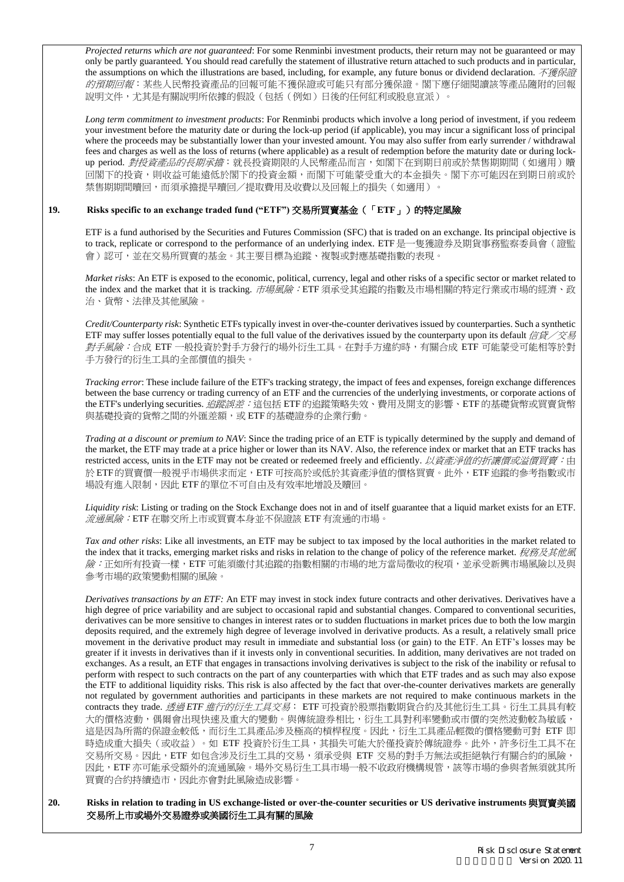*Projected returns which are not guaranteed*: For some Renminbi investment products, their return may not be guaranteed or may only be partly guaranteed. You should read carefully the statement of illustrative return attached to such products and in particular, the assumptions on which the illustrations are based, including, for example, any future bonus or dividend declaration. 不獲保證 的預期回報:某些人民幣投資產品的回報可能不獲保證或可能只有部分獲保證。閣下應仔細閱讀該等產品隨附的回報 說明文件,尤其是有關說明所依據的假設(包括(例如)日後的任何紅利或股息宣派)。

*Long term commitment to investment products*: For Renminbi products which involve a long period of investment, if you redeem your investment before the maturity date or during the lock-up period (if applicable), you may incur a significant loss of principal where the proceeds may be substantially lower than your invested amount. You may also suffer from early surrender / withdrawal fees and charges as well as the loss of returns (where applicable) as a result of redemption before the maturity date or during lockup period. 對投資產品的長期承擔: 就長投資期限的人民幣產品而言, 如閣下在到期日前或於禁售期期間(如適用)贖 回閣下的投資,則收益可能遠低於閣下的投資金額,而閣下可能蒙受重大的本金損失。閣下亦可能因在到期日前或於 禁售期期間贖回,而須承擔提早贖回/提取費用及收費以及回報上的損失(如適用)。

## **19. Risks specific to an exchange traded fund ("ETF")** 交易所買賣基金(「**ETF**」)的特定風險

ETF is a fund authorised by the Securities and Futures Commission (SFC) that is traded on an exchange. Its principal objective is to track, replicate or correspond to the performance of an underlying index. ETF 是一隻獲證券及期貨事務監察委員會(證監 會)認可,並在交易所買賣的基金。其主要目標為追蹤、複製或對應基礎指數的表現。

*Market risks*: An ETF is exposed to the economic, political, currency, legal and other risks of a specific sector or market related to the index and the market that it is tracking. 市場風險: ETF 須承受其追蹤的指數及市場相關的特定行業或市場的經濟、政 治、貨幣、法律及其他風險。

*Credit/Counterparty risk*: Synthetic ETFs typically invest in over-the-counter derivatives issued by counterparties. Such a synthetic ETF may suffer losses potentially equal to the full value of the derivatives issued by the counterparty upon its default  $f/(\bar{x})$ 對手風險:合成 ETF 一般投資於對手方發行的場外衍生工具。在對手方違約時,有關合成 ETF 可能蒙受可能相等於對 手方發行的衍生工具的全部價值的損失。

*Tracking error*: These include failure of the ETF's tracking strategy, the impact of fees and expenses, foreign exchange differences between the base currency or trading currency of an ETF and the currencies of the underlying investments, or corporate actions of the ETF's underlying securities. 追蹤誤差:這包括 ETF 的追蹤策略失效、費用及開支的影響、ETF 的基礎貨幣或買賣貨幣 與基礎投資的貨幣之間的外匯差額,或 ETF 的基礎證券的企業行動。

*Trading at a discount or premium to NAV*: Since the trading price of an ETF is typically determined by the supply and demand of the market, the ETF may trade at a price higher or lower than its NAV. Also, the reference index or market that an ETF tracks has restricted access, units in the ETF may not be created or redeemed freely and efficiently. 以資產淨值的折讓價或溢價買賣:由 於 ETF的買賣價一般視乎市場供求而定,ETF可按高於或低於其資產淨值的價格買賣。此外,ETF追蹤的參考指數或市 場設有進入限制,因此 ETF 的單位不可自由及有效率地增設及贖回。

*Liquidity risk*: Listing or trading on the Stock Exchange does not in and of itself guarantee that a liquid market exists for an ETF. 流通風險:ETF 在聯交所上市或買賣本身並不保證該 ETF 有流通的市場。

*Tax and other risks*: Like all investments, an ETF may be subject to tax imposed by the local authorities in the market related to the index that it tracks, emerging market risks and risks in relation to the change of policy of the reference market. 稅務及其他風 險:正如所有投資一樣,ETF 可能須繳付其追蹤的指數相關的市場的地方當局徵收的稅項,並承受新興市場風險以及與 參考市場的政策變動相關的風險。

*Derivatives transactions by an ETF:* An ETF may invest in stock index future contracts and other derivatives. Derivatives have a high degree of price variability and are subject to occasional rapid and substantial changes. Compared to conventional securities, derivatives can be more sensitive to changes in interest rates or to sudden fluctuations in market prices due to both the low margin deposits required, and the extremely high degree of leverage involved in derivative products. As a result, a relatively small price movement in the derivative product may result in immediate and substantial loss (or gain) to the ETF. An ETF's losses may be greater if it invests in derivatives than if it invests only in conventional securities. In addition, many derivatives are not traded on exchanges. As a result, an ETF that engages in transactions involving derivatives is subject to the risk of the inability or refusal to perform with respect to such contracts on the part of any counterparties with which that ETF trades and as such may also expose the ETF to additional liquidity risks. This risk is also affected by the fact that over-the-counter derivatives markets are generally not regulated by government authorities and participants in these markets are not required to make continuous markets in the contracts they trade. 透過 *ETF* 進行的衍生工具交易: ETF 可投資於股票指數期貨合約及其他衍生工具。衍生工具具有較 大的價格波動,偶爾會出現快速及重大的變動。與傳統證券相比,衍生工具對利率變動或市價的突然波動較為敏感, 這是因為所需的保證金較低,而衍生工具產品涉及極高的槓桿程度。因此,衍生工具產品輕微的價格變動可對 ETF 即 時造成重大損失(或收益)。如 ETF 投資於衍生工具,其損失可能大於僅投資於傳統證券。此外,許多衍生工具不在 交易所交易。因此,ETF 如包含涉及衍生工具的交易,須承受與 ETF 交易的對手方無法或拒絕執行有關合約的風險, 因此,ETF 亦可能承受額外的流通風險。場外交易衍生工具市場一般不收政府機構規管,該等市場的參與者無須就其所 買賣的合約持續造市,因此亦會對此風險造成影響。

### **20. Risks in relation to trading in US exchange-listed or over-the-counter securities or US derivative instruments** 與買賣美國 交易所上市或場外交易證券或美國衍生工具有關的風險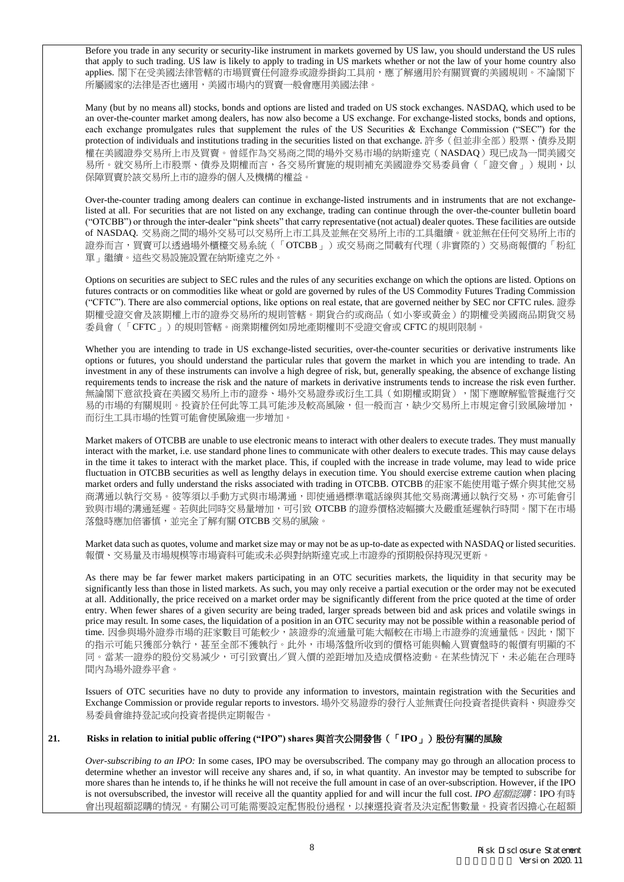Before you trade in any security or security-like instrument in markets governed by US law, you should understand the US rules that apply to such trading. US law is likely to apply to trading in US markets whether or not the law of your home country also applies. 閣下在受美國法律管轄的市場買賣任何證券或證券掛鈎工具前,應了解適用於有關買賣的美國規則。不論閣下 所屬國家的法律是否也適用,美國市場內的買賣一般會應用美國法律。

Many (but by no means all) stocks, bonds and options are listed and traded on US stock exchanges. NASDAQ, which used to be an over-the-counter market among dealers, has now also become a US exchange. For exchange-listed stocks, bonds and options, each exchange promulgates rules that supplement the rules of the US Securities & Exchange Commission ("SEC") for the protection of individuals and institutions trading in the securities listed on that exchange. 許多(但並非全部)股票、債券及期 權在美國證券交易所上市及買賣。曾經作為交易商之間的場外交易市場的納斯達克(NASDAQ)現已成為一間美國交 易所。就交易所上市股票、債券及期權而言,各交易所實施的規則補充美國證券交易委員會(「證交會」)規則,以 保障買賣於該交易所上市的證券的個人及機構的權益。

Over-the-counter trading among dealers can continue in exchange-listed instruments and in instruments that are not exchangelisted at all. For securities that are not listed on any exchange, trading can continue through the over-the-counter bulletin board ("OTCBB") or through the inter-dealer "pink sheets" that carry representative (not actual) dealer quotes. These facilities are outside of NASDAQ. 交易商之間的場外交易可以交易所上市工具及並無在交易所上市的工具繼續。就並無在任何交易所上市的 證券而言,買賣可以透過場外櫃檯交易系統(「OTCBB」)或交易商之間載有代理(非實際的)交易商報價的「粉紅 單」繼續。這些交易設施設置在納斯達克之外。

Options on securities are subject to SEC rules and the rules of any securities exchange on which the options are listed. Options on futures contracts or on commodities like wheat or gold are governed by rules of the US Commodity Futures Trading Commission ("CFTC"). There are also commercial options, like options on real estate, that are governed neither by SEC nor CFTC rules. 證券 期權受證交會及該期權上市的證券交易所的規則管轄。期貨合約或商品(如小麥或黃金)的期權受美國商品期貨交易 委員會(「CFTC」)的規則管轄。商業期權例如房地產期權則不受證交會或 CFTC 的規則限制。

Whether you are intending to trade in US exchange-listed securities, over-the-counter securities or derivative instruments like options or futures, you should understand the particular rules that govern the market in which you are intending to trade. An investment in any of these instruments can involve a high degree of risk, but, generally speaking, the absence of exchange listing requirements tends to increase the risk and the nature of markets in derivative instruments tends to increase the risk even further. 無論閣下意欲投資在美國交易所上市的證券、場外交易證券或衍生工具(如期權或期貨),閣下應瞭解監管擬進行交 易的市場的有關規則。投資於任何此等工具可能涉及較高風險,但一般而言,缺少交易所上市規定會引致風險增加, 而衍生工具市場的性質可能會使風險進一步增加。

Market makers of OTCBB are unable to use electronic means to interact with other dealers to execute trades. They must manually interact with the market, i.e. use standard phone lines to communicate with other dealers to execute trades. This may cause delays in the time it takes to interact with the market place. This, if coupled with the increase in trade volume, may lead to wide price fluctuation in OTCBB securities as well as lengthy delays in execution time. You should exercise extreme caution when placing market orders and fully understand the risks associated with trading in OTCBB. OTCBB 的莊家不能使用電子媒介與其他交易 商溝通以執行交易。彼等須以手動方式與市場溝通,即使通過標準電話線與其他交易商溝通以執行交易,亦可能會引 致與市場的溝通延遲。若與此同時交易量增加,可引致 OTCBB 的證券價格波幅擴大及嚴重延遲執行時間。閣下在市場 落盤時應加倍審慎,並完全了解有關 OTCBB 交易的風險。

Market data such as quotes, volume and market size may or may not be as up-to-date as expected with NASDAQ or listed securities. 報價、交易量及市場規模等市場資料可能或未必與對納斯達克或上市證券的預期般保持現況更新。

As there may be far fewer market makers participating in an OTC securities markets, the liquidity in that security may be significantly less than those in listed markets. As such, you may only receive a partial execution or the order may not be executed at all. Additionally, the price received on a market order may be significantly different from the price quoted at the time of order entry. When fewer shares of a given security are being traded, larger spreads between bid and ask prices and volatile swings in price may result. In some cases, the liquidation of a position in an OTC security may not be possible within a reasonable period of time. 因參與場外證券市場的莊家數目可能較少,該證券的流通量可能大幅較在市場上市證券的流通量低。因此,閣下 的指示可能只獲部分執行,甚至全部不獲執行。此外,市場落盤所收到的價格可能與輸入買賣盤時的報價有明顯的不 同。當某一證券的股份交易減少,可引致賣出/買入價的差距增加及造成價格波動。在某些情況下,未必能在合理時 間內為場外證券平倉。

Issuers of OTC securities have no duty to provide any information to investors, maintain registration with the Securities and Exchange Commission or provide regular reports to investors. 場外交易證券的發行人並無責任向投資者提供資料、與證券交 易委員會維持登記或向投資者提供定期報告。

## **21. Risks in relation to initial public offering ("IPO") shares** 與首次公開發售(「**IPO**」)股份有關的風險

*Over-subscribing to an IPO:* In some cases, IPO may be oversubscribed. The company may go through an allocation process to determine whether an investor will receive any shares and, if so, in what quantity. An investor may be tempted to subscribe for more shares than he intends to, if he thinks he will not receive the full amount in case of an over-subscription. However, if the IPO is not oversubscribed, the investor will receive all the quantity applied for and will incur the full cost. *IPO* 超額認購:IPO 有時 會出現超額認購的情況。有關公司可能需要設定配售股份過程,以揀選投資者及決定配售數量。投資者因擔心在超額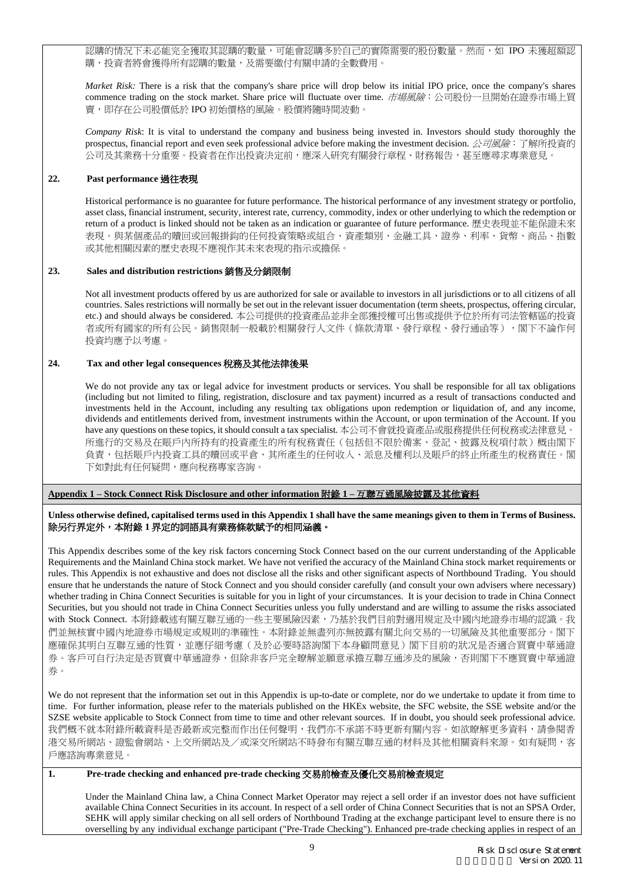認購的情況下未必能完全獲取其認購的數量,可能會認購多於自己的實際需要的股份數量。然而,如 IPO 未獲超額認 購,投資者將會獲得所有認購的數量,及需要繳付有關申請的全數費用。

*Market Risk:* There is a risk that the company's share price will drop below its initial IPO price, once the company's shares commence trading on the stock market. Share price will fluctuate over time. 市場風險:公司股份一旦開始在證券市場上買 賣,即存在公司股價低於 IPO 初始價格的風險。股價將隨時間波動。

*Company Risk*: It is vital to understand the company and business being invested in. Investors should study thoroughly the prospectus, financial report and even seek professional advice before making the investment decision. 公司風險: 了解所投資的 公司及其業務十分重要。投資者在作出投資決定前,應深入研究有關發行章程、財務報告,甚至應尋求專業意見。

## **22. Past performance** 過往表現

Historical performance is no guarantee for future performance. The historical performance of any investment strategy or portfolio, asset class, financial instrument, security, interest rate, currency, commodity, index or other underlying to which the redemption or return of a product is linked should not be taken as an indication or guarantee of future performance. 歷史表現並不能保證未來 表現。與某個產品的贖回或回報掛鈎的任何投資策略或組合、資產類別、金融工具、證券、利率、貨幣、商品、指數 或其他相關因素的歷史表現不應視作其未來表現的指示或擔保。

### **23. Sales and distribution restrictions** 銷售及分銷限制

Not all investment products offered by us are authorized for sale or available to investors in all jurisdictions or to all citizens of all countries. Sales restrictions will normally be set out in the relevant issuer documentation (term sheets, prospectus, offering circular, etc.) and should always be considered. 本公司提供的投資產品並非全部獲授權可出售或提供予位於所有司法管轄區的投資 者或所有國家的所有公民。銷售限制一般載於相關發行人文件(條款清單、發行章程、發行通函等),閣下不論作何 投資均應予以考慮。

### **24. Tax and other legal consequences** 稅務及其他法律後果

We do not provide any tax or legal advice for investment products or services. You shall be responsible for all tax obligations (including but not limited to filing, registration, disclosure and tax payment) incurred as a result of transactions conducted and investments held in the Account, including any resulting tax obligations upon redemption or liquidation of, and any income, dividends and entitlements derived from, investment instruments within the Account, or upon termination of the Account. If you have any questions on these topics, it should consult a tax specialist. 本公司不會就投資產品或服務提供任何稅務或法律意見。 所進行的交易及在賬戶內所持有的投資產生的所有稅務責任(包括但不限於備案、登記、披露及稅項付款)概由閣下 負責,包括賬戶內投資工具的贖回或平倉、其所產生的任何收入、派息及權利以及賬戶的終止所產生的稅務責任。閣 下如對此有任何疑問,應向稅務專家咨詢。

### **Appendix 1 – Stock Connect Risk Disclosure and other information** 附錄 **1 –** 互聯互通風險披露及其他資料

### **Unless otherwise defined, capitalised terms used in this Appendix 1 shall have the same meanings given to them in Terms of Business.** 除另行界定外,本附錄 **1** 界定的詞語具有業務條款賦予的相同涵義。

This Appendix describes some of the key risk factors concerning Stock Connect based on the our current understanding of the Applicable Requirements and the Mainland China stock market. We have not verified the accuracy of the Mainland China stock market requirements or rules. This Appendix is not exhaustive and does not disclose all the risks and other significant aspects of Northbound Trading. You should ensure that he understands the nature of Stock Connect and you should consider carefully (and consult your own advisers where necessary) whether trading in China Connect Securities is suitable for you in light of your circumstances. It is your decision to trade in China Connect Securities, but you should not trade in China Connect Securities unless you fully understand and are willing to assume the risks associated with Stock Connect. 本附錄載述有關互聯互通的一些主要風險因素,乃基於我們目前對適用規定及中國內地證券市場的認識。我 們並無核實中國內地證券市場規定或規則的準確性。本附錄並無盡列亦無披露有關北向交易的一切風險及其他重要部分。閣下 應確保其明白互聯互通的性質,並應仔細考慮(及於必要時諮詢閣下本身顧問意見)閣下目前的狀况是否適合買賣中華通證 券。客戶可自行決定是否買賣中華通證券,但除非客戶完全瞭解並願意承擔互聯互通涉及的風險,否則閣下不應買賣中華通證 券。

We do not represent that the information set out in this Appendix is up-to-date or complete, nor do we undertake to update it from time to time. For further information, please refer to the materials published on the HKEx website, the SFC website, the SSE website and/or the SZSE website applicable to Stock Connect from time to time and other relevant sources. If in doubt, you should seek professional advice. 我們概不就本附錄所載資料是否最新或完整而作出任何聲明,我們亦不承諾不時更新有關內容。如欲瞭解更多資料,請參閱香 港交易所網站、證監會網站、上交所網站及/或深交所網站不時發布有關互聯互通的材料及其他相關資料來源。如有疑問,客 戶應諮詢專業意見。

# **1. Pre-trade checking and enhanced pre-trade checking** 交易前檢查及優化交易前檢查規定

Under the Mainland China law, a China Connect Market Operator may reject a sell order if an investor does not have sufficient available China Connect Securities in its account. In respect of a sell order of China Connect Securities that is not an SPSA Order, SEHK will apply similar checking on all sell orders of Northbound Trading at the exchange participant level to ensure there is no overselling by any individual exchange participant ("Pre-Trade Checking"). Enhanced pre-trade checking applies in respect of an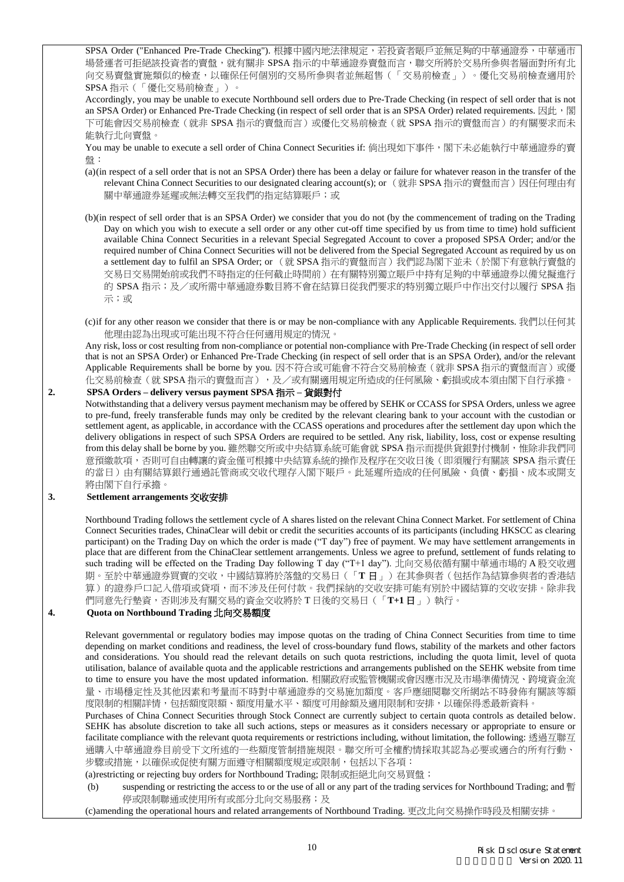SPSA Order ("Enhanced Pre-Trade Checking"). 根據中國內地法律規定,若投資者賬戶並無足夠的中華通證券,中華通市 場營運者可拒絕該投資者的賣盤,就有關非 SPSA 指示的中華通證券賣盤而言,聯交所將於交易所參與者層面對所有北 向交易賣盤實施類似的檢查,以確保任何個別的交易所參與者並無超售(「交易前檢查」)。優化交易前檢查適用於 SPSA 指示(「優化交易前檢查」)。

Accordingly, you may be unable to execute Northbound sell orders due to Pre-Trade Checking (in respect of sell order that is not an SPSA Order) or Enhanced Pre-Trade Checking (in respect of sell order that is an SPSA Order) related requirements. 因此, 閣 下可能會因交易前檢查(就非 SPSA 指示的賣盤而言)或優化交易前檢查(就 SPSA 指示的賣盤而言)的有關要求而未 能執行北向賣盤。

You may be unable to execute a sell order of China Connect Securities if: 倘出現如下事件,閣下未必能執行中華通證券的賣 盤:

- (a)(in respect of a sell order that is not an SPSA Order) there has been a delay or failure for whatever reason in the transfer of the relevant China Connect Securities to our designated clearing account(s); or (就非 SPSA 指示的賣盤而言)因任何理由有 關中華通證券延遲或無法轉交至我們的指定結算賬戶;或
- (b)(in respect of sell order that is an SPSA Order) we consider that you do not (by the commencement of trading on the Trading Day on which you wish to execute a sell order or any other cut-off time specified by us from time to time) hold sufficient available China Connect Securities in a relevant Special Segregated Account to cover a proposed SPSA Order; and/or the required number of China Connect Securities will not be delivered from the Special Segregated Account as required by us on a settlement day to fulfil an SPSA Order; or (就 SPSA 指示的賣盤而言)我們認為閣下並未(於閣下有意執行賣盤的 交易日交易開始前或我們不時指定的任何截止時間前)在有關特別獨立賬戶中持有足夠的中華通證券以備兌擬進行 的 SPSA 指示;及/或所需中華通證券數目將不會在結算日從我們要求的特別獨立賬戶中作出交付以履行 SPSA 指 示;或
- (c)if for any other reason we consider that there is or may be non-compliance with any Applicable Requirements. 我們以任何其 他理由認為出現或可能出現不符合任何適用規定的情況。

Any risk, loss or cost resulting from non-compliance or potential non-compliance with Pre-Trade Checking (in respect of sell order that is not an SPSA Order) or Enhanced Pre-Trade Checking (in respect of sell order that is an SPSA Order), and/or the relevant Applicable Requirements shall be borne by you. 因不符合或可能會不符合交易前檢查(就非 SPSA 指示的賣盤而言)或優 化交易前檢查(就 SPSA 指示的賣盤而言),及/或有關適用規定所造成的任何風險、虧損或成本須由閣下自行承擔。

**2. SPSA Orders – delivery versus payment SPSA** 指示 **–** 貨銀對付 Notwithstanding that a delivery versus payment mechanism may be offered by SEHK or CCASS for SPSA Orders, unless we agree to pre-fund, freely transferable funds may only be credited by the relevant clearing bank to your account with the custodian or settlement agent, as applicable, in accordance with the CCASS operations and procedures after the settlement day upon which the delivery obligations in respect of such SPSA Orders are required to be settled. Any risk, liability, loss, cost or expense resulting from this delay shall be borne by you. 雖然聯交所或中央結算系統可能會就 SPSA 指示而提供貨銀對付機制,惟除非我們同 意預繳款項,否則可自由轉讓的資金僅可根據中央結算系統的操作及程序在交收日後(即須履行有關該 SPSA 指示責任 的當日)由有關結算銀行通過託管商或交收代理存入閣下賬戶。此延遲所造成的任何風險、負債、虧損、成本或開支 將由閣下自行承擔。

### **3. Settlement arrangements** 交收安排

Northbound Trading follows the settlement cycle of A shares listed on the relevant China Connect Market. For settlement of China Connect Securities trades, ChinaClear will debit or credit the securities accounts of its participants (including HKSCC as clearing participant) on the Trading Day on which the order is made ("T day") free of payment. We may have settlement arrangements in place that are different from the ChinaClear settlement arrangements. Unless we agree to prefund, settlement of funds relating to such trading will be effected on the Trading Day following T day ("T+1 day"). 北向交易依循有關中華通市場的 A 股交收週 期。至於中華通證券買賣的交收,中國結算將於落盤的交易日(「**T** 日」)在其參與者(包括作為結算參與者的香港結 算)的證券戶口記入借項或貸項,而不涉及任何付款。我們採納的交收安排可能有別於中國結算的交收安排。除非我 們同意先行墊資,否則涉及有關交易的資金交收將於 T 日後的交易日(「**T+1** 日」)執行。

# **4. Quota on Northbound Trading** 北向交易額度

Relevant governmental or regulatory bodies may impose quotas on the trading of China Connect Securities from time to time depending on market conditions and readiness, the level of cross-boundary fund flows, stability of the markets and other factors and considerations. You should read the relevant details on such quota restrictions, including the quota limit, level of quota utilisation, balance of available quota and the applicable restrictions and arrangements published on the SEHK website from time to time to ensure you have the most updated information. 相關政府或監管機關或會因應市況及市場準備情況、跨境資金流 量、市場穩定性及其他因素和考量而不時對中華通證券的交易施加額度。客戶應細閱聯交所網站不時發佈有關該等額 度限制的相關詳情,包括額度限額、額度用量水平、額度可用餘額及適用限制和安排,以確保得悉最新資料。

Purchases of China Connect Securities through Stock Connect are currently subject to certain quota controls as detailed below. SEHK has absolute discretion to take all such actions, steps or measures as it considers necessary or appropriate to ensure or facilitate compliance with the relevant quota requirements or restrictions including, without limitation, the following: 透過互聯互 通購入中華通證券目前受下文所述的一些額度管制措施規限。聯交所可全權酌情採取其認為必要或適合的所有行動、 步驟或措施,以確保或促使有關方面遵守相關額度規定或限制,包括以下各項:

(a)restricting or rejecting buy orders for Northbound Trading; 限制或拒絕北向交易買盤;

suspending or restricting the access to or the use of all or any part of the trading services for Northbound Trading; and 暫 停或限制聯通或使用所有或部分北向交易服務;及

(c)amending the operational hours and related arrangements of Northbound Trading. 更改北向交易操作時段及相關安排。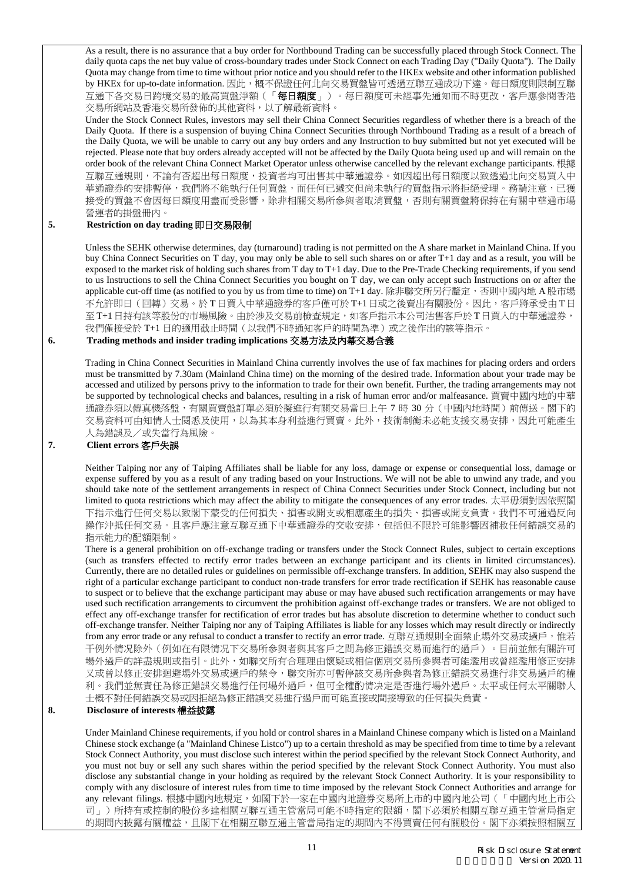As a result, there is no assurance that a buy order for Northbound Trading can be successfully placed through Stock Connect. The daily quota caps the net buy value of cross-boundary trades under Stock Connect on each Trading Day ("Daily Quota"). The Daily Quota may change from time to time without prior notice and you should refer to the HKEx website and other information published by HKEx for up-to-date information. 因此,概不保證任何北向交易買盤皆可透過互聯互通成功下達。每日額度則限制互聯 互通下各交易日跨境交易的最高買盤淨額(「每日額度」)。每日額度可未經事先通知而不時更改,客戶應參閱香港 交易所網站及香港交易所發佈的其他資料,以了解最新資料。

Under the Stock Connect Rules, investors may sell their China Connect Securities regardless of whether there is a breach of the Daily Quota. If there is a suspension of buying China Connect Securities through Northbound Trading as a result of a breach of the Daily Quota, we will be unable to carry out any buy orders and any Instruction to buy submitted but not yet executed will be rejected. Please note that buy orders already accepted will not be affected by the Daily Quota being used up and will remain on the order book of the relevant China Connect Market Operator unless otherwise cancelled by the relevant exchange participants. 根據 互聯互通規則,不論有否超出每日額度,投資者均可出售其中華通證券。如因超出每日額度以致透過北向交易買入中 華通證券的安排暫停,我們將不能執行任何買盤,而任何已遞交但尚未執行的買盤指示將拒絕受理。務請注意,已獲 接受的買盤不會因每日額度用盡而受影響,除非相關交易所參與者取消買盤,否則有關買盤將保持在有關中華通市場 營運者的掛盤冊內。

# **5. Restriction on day trading** 即日交易限制

Unless the SEHK otherwise determines, day (turnaround) trading is not permitted on the A share market in Mainland China. If you buy China Connect Securities on T day, you may only be able to sell such shares on or after T+1 day and as a result, you will be exposed to the market risk of holding such shares from T day to T+1 day. Due to the Pre-Trade Checking requirements, if you send to us Instructions to sell the China Connect Securities you bought on T day, we can only accept such Instructions on or after the applicable cut-off time (as notified to you by us from time to time) on T+1 day. 除非聯交所另行釐定,否則中國內地 A 股市場 不允許即日(回轉)交易。於 T 日買入中華通證券的客戶僅可於 T+1日或之後賣出有關股份。因此,客戶將承受由 T日 至 T+1日持有該等股份的市場風險。由於涉及交易前檢查規定,如客戶指示本公司沽售客戶於 T日買入的中華通證券, 我們僅接受於 T+1 日的適用截止時間(以我們不時通知客戶的時間為準)或之後作出的該等指示。

# **6. Trading methods and insider trading implications** 交易方法及內幕交易含義

Trading in China Connect Securities in Mainland China currently involves the use of fax machines for placing orders and orders must be transmitted by 7.30am (Mainland China time) on the morning of the desired trade. Information about your trade may be accessed and utilized by persons privy to the information to trade for their own benefit. Further, the trading arrangements may not be supported by technological checks and balances, resulting in a risk of human error and/or malfeasance. 買賣中國內地的中華 通證券須以傳真機落盤,有關買賣盤訂單必須於擬進行有關交易當日上午 7 時 30 分(中國內地時間)前傳送。閣下的 交易資料可由知情人士閱悉及使用,以為其本身利益進行買賣。此外,技術制衡未必能支援交易安排,因此可能產生 人為錯誤及/或失當行為風險。

### **7. Client errors** 客戶失誤

Neither Taiping nor any of Taiping Affiliates shall be liable for any loss, damage or expense or consequential loss, damage or expense suffered by you as a result of any trading based on your Instructions. We will not be able to unwind any trade, and you should take note of the settlement arrangements in respect of China Connect Securities under Stock Connect, including but not limited to quota restrictions which may affect the ability to mitigate the consequences of any error trades. 太平毋須對因依照閣 下指示進行任何交易以致閣下蒙受的任何損失、損害或開支或相應產生的損失、損害或開支負責。我們不可通過反向 操作沖抵任何交易。且客戶應注意互聯互通下中華通證券的交收安排,包括但不限於可能影響因補救任何錯誤交易的 指示能力的配額限制。

There is a general prohibition on off-exchange trading or transfers under the Stock Connect Rules, subject to certain exceptions (such as transfers effected to rectify error trades between an exchange participant and its clients in limited circumstances). Currently, there are no detailed rules or guidelines on permissible off-exchange transfers. In addition, SEHK may also suspend the right of a particular exchange participant to conduct non-trade transfers for error trade rectification if SEHK has reasonable cause to suspect or to believe that the exchange participant may abuse or may have abused such rectification arrangements or may have used such rectification arrangements to circumvent the prohibition against off-exchange trades or transfers. We are not obliged to effect any off-exchange transfer for rectification of error trades but has absolute discretion to determine whether to conduct such off-exchange transfer. Neither Taiping nor any of Taiping Affiliates is liable for any losses which may result directly or indirectly from any error trade or any refusal to conduct a transfer to rectify an error trade. 互聯互通規則全面禁止場外交易或過戶,惟若 干例外情况除外(例如在有限情况下交易所參與者與其客戶之間為修正錯誤交易而進行的過戶)。目前並無有關許可 場外過戶的詳盡規則或指引。此外,如聯交所有合理理由懷疑或相信個別交易所參與者可能濫用或曾經濫用修正安排 又或曾以修正安排迴避場外交易或過戶的禁令,聯交所亦可暫停該交易所參與者為修正錯誤交易進行非交易過戶的權 利。我們並無責任為修正錯誤交易進行任何場外過戶,但可全權酌情决定是否進行場外過戶。太平或任何太平關聯人 士概不對任何錯誤交易或因拒絕為修正錯誤交易進行過戶而可能直接或間接導致的任何損失負責。

### **8. Disclosure of interests** 權益披露

Under Mainland Chinese requirements, if you hold or control shares in a Mainland Chinese company which is listed on a Mainland Chinese stock exchange (a "Mainland Chinese Listco") up to a certain threshold as may be specified from time to time by a relevant Stock Connect Authority, you must disclose such interest within the period specified by the relevant Stock Connect Authority, and you must not buy or sell any such shares within the period specified by the relevant Stock Connect Authority. You must also disclose any substantial change in your holding as required by the relevant Stock Connect Authority. It is your responsibility to comply with any disclosure of interest rules from time to time imposed by the relevant Stock Connect Authorities and arrange for any relevant filings. 根據中國內地規定, 如閣下於一家在中國內地證券交易所上市的中國內地公司(「中國內地上市公 司」)所持有或控制的股份多達相關互聯互通主管當局可能不時指定的限額,閣下必須於相關互聯互通主管當局指定 的期間內披露有關權益,且閣下在相關互聯互通主管當局指定的期間內不得買賣任何有關股份。閣下亦須按照相關互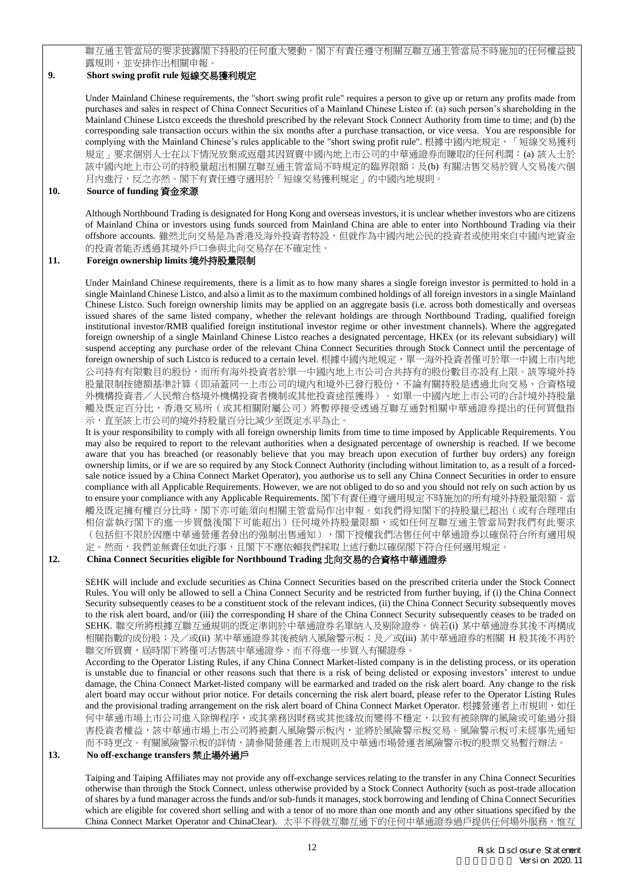聯互通主管當局的要求披露閣下持股的任何重大變動。閣下有責任遵守相關互聯互通主管當局不時施加的任何權益披 露規則,並安排作出相關申報。

## **9. Short swing profit rule** 短線交易獲利規定

Under Mainland Chinese requirements, the "short swing profit rule" requires a person to give up or return any profits made from purchases and sales in respect of China Connect Securities of a Mainland Chinese Listco if: (a) such person's shareholding in the Mainland Chinese Listco exceeds the threshold prescribed by the relevant Stock Connect Authority from time to time; and (b) the corresponding sale transaction occurs within the six months after a purchase transaction, or vice versa. You are responsible for complying with the Mainland Chinese's rules applicable to the "short swing profit rule". 根據中國內地規定,「短線交易獲利 規定」要求個別人士在以下情況放棄或返還其因買賣中國内地上市公司的中華通證券而賺取的任何利潤: (a) 該人士於 該中國内地上市公司的持股量超出相關互聯互通主管當局不時規定的臨界限額;及(b) 有關沽售交易於買入交易後六個 月內進行,反之亦然。閣下有責任遵守適用於「短線交易獲利規定」的中國內地規則。

### **10. Source of funding** 資金來源

Although Northbound Trading is designated for Hong Kong and overseas investors, it is unclear whether investors who are citizens of Mainland China or investors using funds sourced from Mainland China are able to enter into Northbound Trading via their offshore accounts. 雖然北向交易是為香港及海外投資者特設,但就作為中國內地公民的投資者或使用來自中國內地資金 的投資者能否透過其境外戶口參與北向交易存在不確定性。

# **11. Foreign ownership limits** 境外持股量限制

Under Mainland Chinese requirements, there is a limit as to how many shares a single foreign investor is permitted to hold in a single Mainland Chinese Listco, and also a limit as to the maximum combined holdings of all foreign investors in a single Mainland Chinese Listco. Such foreign ownership limits may be applied on an aggregate basis (i.e. across both domestically and overseas issued shares of the same listed company, whether the relevant holdings are through Northbound Trading, qualified foreign institutional investor/RMB qualified foreign institutional investor regime or other investment channels). Where the aggregated foreign ownership of a single Mainland Chinese Listco reaches a designated percentage, HKEx (or its relevant subsidiary) will suspend accepting any purchase order of the relevant China Connect Securities through Stock Connect until the percentage of foreign ownership of such Listco is reduced to a certain level. 根據中國內地規定,單一海外投資者僅可於單一中國上市內地 公司持有有限數目的股份,而所有海外投資者於單一中國內地上市公司合共持有的股份數目亦設有上限。該等境外持 股量限制按總額基準計算(即涵蓋同一上市公司的境內和境外已發行股份,不論有關持股是透過北向交易、合資格境 外機構投資者/人民幣合格境外機構投資者機制或其他投資途徑獲得)。如單一中國內地上市公司的合計境外持股量 觸及既定百分比,香港交易所(或其相關附屬公司)將暫停接受透過互聯互通對相關中華通證券提出的任何買盤指 示,直至該上市公司的境外持股量百分比減少至既定水平為止。

It is your responsibility to comply with all foreign ownership limits from time to time imposed by Applicable Requirements. You may also be required to report to the relevant authorities when a designated percentage of ownership is reached. If we become aware that you has breached (or reasonably believe that you may breach upon execution of further buy orders) any foreign ownership limits, or if we are so required by any Stock Connect Authority (including without limitation to, as a result of a forcedsale notice issued by a China Connect Market Operator), you authorise us to sell any China Connect Securities in order to ensure compliance with all Applicable Requirements. However, we are not obliged to do so and you should not rely on such action by us to ensure your compliance with any Applicable Requirements. 閣下有責任遵守適用規定不時施加的所有境外持股量限額。當 觸及既定擁有權百分比時,閣下亦可能須向相關主管當局作出申報。如我們得知閣下的持股量已超出(或有合理理由 相信當執行閣下的進一步買盤後閣下可能超出)任何境外持股量限額,或如任何互聯互通主管當局對我們有此要求 (包括但不限於因應中華通營運者發出的强制出售通知),閣下授權我們沽售任何中華通證券以確保符合所有適用規 定。然而,我們並無責任如此行事,且閣下不應依賴我們採取上述行動以確保閣下符合任何適用規定。

### **12. China Connect Securities eligible for Northbound Trading** 北向交易的合資格中華通證券

SEHK will include and exclude securities as China Connect Securities based on the prescribed criteria under the Stock Connect Rules. You will only be allowed to sell a China Connect Security and be restricted from further buying, if (i) the China Connect Security subsequently ceases to be a constituent stock of the relevant indices, (ii) the China Connect Security subsequently moves to the risk alert board, and/or (iii) the corresponding H share of the China Connect Security subsequently ceases to be traded on SEHK. 聯交所將根據互聯互通規則的既定準則於中華通證券名單納入及剔除證券。倘若(i) 某中華通證券其後不再構成 相關指數的成份股;及/或(ii) 某中華通證券其後被納入風險警示板;及/或(iii) 某中華通證券的相關 H 股其後不再於 聯交所買賣, 屆時閣下將僅可沽售該中華通證券,而不得進一步買入有關證券。

According to the Operator Listing Rules, if any China Connect Market-listed company is in the delisting process, or its operation is unstable due to financial or other reasons such that there is a risk of being delisted or exposing investors' interest to undue damage, the China Connect Market-listed company will be earmarked and traded on the risk alert board. Any change to the risk alert board may occur without prior notice. For details concerning the risk alert board, please refer to the Operator Listing Rules and the provisional trading arrangement on the risk alert board of China Connect Market Operator. 根據營運者上市規則,如任 何中華通市場上市公司進入除牌程序,或其業務因財務或其他緣故而變得不穩定,以致有被除牌的風險或可能過分損 害投資者權益,該中華通市場上市公司將被劃入風險警示板內,並將於風險警示板交易。風險警示板可未經事先通知 而不時更改。有關風險警示板的詳情,請參閱營運者上市規則及中華通市場營運者風險警示板的股票交易暫行辦法。

#### **13. No off-exchange transfers** 禁止場外過戶

Taiping and Taiping Affiliates may not provide any off-exchange services relating to the transfer in any China Connect Securities otherwise than through the Stock Connect, unless otherwise provided by a Stock Connect Authority (such as post-trade allocation of shares by a fund manager across the funds and/or sub-funds it manages, stock borrowing and lending of China Connect Securities which are eligible for covered short selling and with a tenor of no more than one month and any other situations specified by the China Connect Market Operator and ChinaClear). 太平不得就互聯互通下的任何中華通證券過戶提供任何場外服務,惟互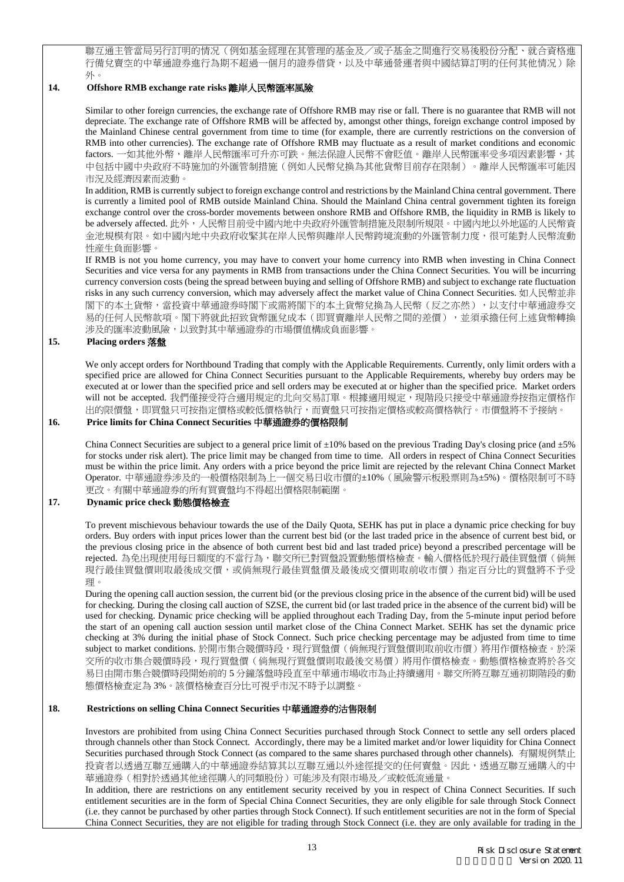聯互通主管當局另行訂明的情况(例如基金經理在其管理的基金及/或子基金之間進行交易後股份分配、就合資格進 行備兌賣空的中華通證券進行為期不超過一個月的證券借貸,以及中華通營運者與中國結算訂明的任何其他情况)除 外。

### **14. Offshore RMB exchange rate risks** 離岸人民幣匯率風險

Similar to other foreign currencies, the exchange rate of Offshore RMB may rise or fall. There is no guarantee that RMB will not depreciate. The exchange rate of Offshore RMB will be affected by, amongst other things, foreign exchange control imposed by the Mainland Chinese central government from time to time (for example, there are currently restrictions on the conversion of RMB into other currencies). The exchange rate of Offshore RMB may fluctuate as a result of market conditions and economic factors. 一如其他外幣,離岸人民幣匯率可升亦可跌。無法保證人民幣不會貶值。離岸人民幣匯率受多項因素影響,其 中包括中國中央政府不時施加的外匯管制措施(例如人民幣兌換為其他貨幣目前存在限制)。離岸人民幣匯率可能因 市況及經濟因素而波動。

In addition, RMB is currently subject to foreign exchange control and restrictions by the Mainland China central government. There is currently a limited pool of RMB outside Mainland China. Should the Mainland China central government tighten its foreign exchange control over the cross-border movements between onshore RMB and Offshore RMB, the liquidity in RMB is likely to be adversely affected. 此外,人民幣目前受中國內地中央政府外匯管制措施及限制所規限。中國內地以外地區的人民幣資 金池規模有限。如中國內地中央政府收緊其在岸人民幣與離岸人民幣跨境流動的外匯管制力度,很可能對人民幣流動 性産生負面影響。

If RMB is not you home currency, you may have to convert your home currency into RMB when investing in China Connect Securities and vice versa for any payments in RMB from transactions under the China Connect Securities. You will be incurring currency conversion costs (being the spread between buying and selling of Offshore RMB) and subject to exchange rate fluctuation risks in any such currency conversion, which may adversely affect the market value of China Connect Securities. 如人民幣並非 閣下的本土貨幣,當投資中華通證券時閣下或需將閣下的本土貨幣兌換為人民幣(反之亦然),以支付中華通證券交 易的任何人民幣款項。閣下將就此招致貨幣匯兌成本(即買賣離岸人民幣之間的差價),並須承擔任何上述貨幣轉換 涉及的匯率波動風險,以致對其中華通證券的市場價值構成負面影響。

### **15. Placing orders** 落盤

We only accept orders for Northbound Trading that comply with the Applicable Requirements. Currently, only limit orders with a specified price are allowed for China Connect Securities pursuant to the Applicable Requirements, whereby buy orders may be executed at or lower than the specified price and sell orders may be executed at or higher than the specified price. Market orders will not be accepted. 我們僅接受符合適用規定的北向交易訂單。根據適用規定,現階段只接受中華通證券按指定價格作 出的限價盤,即買盤只可按指定價格或較低價格執行,而賣盤只可按指定價格或較高價格執行。市價盤將不予接納。

## **16. Price limits for China Connect Securities** 中華通證券的價格限制

China Connect Securities are subject to a general price limit of  $\pm 10\%$  based on the previous Trading Day's closing price (and  $\pm 5\%$ ) for stocks under risk alert). The price limit may be changed from time to time. All orders in respect of China Connect Securities must be within the price limit. Any orders with a price beyond the price limit are rejected by the relevant China Connect Market Operator. 中華通證券涉及的一般價格限制為上一個交易日收市價的±10%(風險警示板股票則為±5%)。價格限制可不時 更改。有關中華通證券的所有買賣盤均不得超出價格限制範圍。

### **17. Dynamic price check** 動態價格檢查

To prevent mischievous behaviour towards the use of the Daily Quota, SEHK has put in place a dynamic price checking for buy orders. Buy orders with input prices lower than the current best bid (or the last traded price in the absence of current best bid, or the previous closing price in the absence of both current best bid and last traded price) beyond a prescribed percentage will be rejected. 為免出現使用每日額度的不當行為,聯交所已對買盤設置動態價格檢查。輸入價格低於現行最佳買盤價(倘無 現行最佳買盤價則取最後成交價,或倘無現行最佳買盤價及最後成交價則取前收市價)指定百分比的買盤將不予受 理。

During the opening call auction session, the current bid (or the previous closing price in the absence of the current bid) will be used for checking. During the closing call auction of SZSE, the current bid (or last traded price in the absence of the current bid) will be used for checking. Dynamic price checking will be applied throughout each Trading Day, from the 5-minute input period before the start of an opening call auction session until market close of the China Connect Market. SEHK has set the dynamic price checking at 3% during the initial phase of Stock Connect. Such price checking percentage may be adjusted from time to time subject to market conditions. 於開市集合競價時段,現行買盤價(倘無現行買盤價則取前收市價)將用作價格檢查。於深 交所的收市集合競價時段,現行買盤價(倘無現行買盤價則取最後交易價)將用作價格檢查。動態價格檢查將於各交 易日由開市集合競價時段開始前的 5 分鐘落盤時段直至中華通市場收市為止持續適用。聯交所將互聯互通初期階段的動 態價格檢查定為 3%。該價格檢查百分比可視乎市況不時予以調整。

### **18. Restrictions on selling China Connect Securities** 中華通證券的沽售限制

Investors are prohibited from using China Connect Securities purchased through Stock Connect to settle any sell orders placed through channels other than Stock Connect. Accordingly, there may be a limited market and/or lower liquidity for China Connect Securities purchased through Stock Connect (as compared to the same shares purchased through other channels). 有關規例禁止 投資者以透過互聯互通購入的中華通證券結算其以互聯互通以外途徑提交的任何賣盤。因此,透過互聯互通購入的中 華通證券(相對於透過其他途徑購入的同類股份)可能涉及有限市場及/或較低流通量。

In addition, there are restrictions on any entitlement security received by you in respect of China Connect Securities. If such entitlement securities are in the form of Special China Connect Securities, they are only eligible for sale through Stock Connect (i.e. they cannot be purchased by other parties through Stock Connect). If such entitlement securities are not in the form of Special China Connect Securities, they are not eligible for trading through Stock Connect (i.e. they are only available for trading in the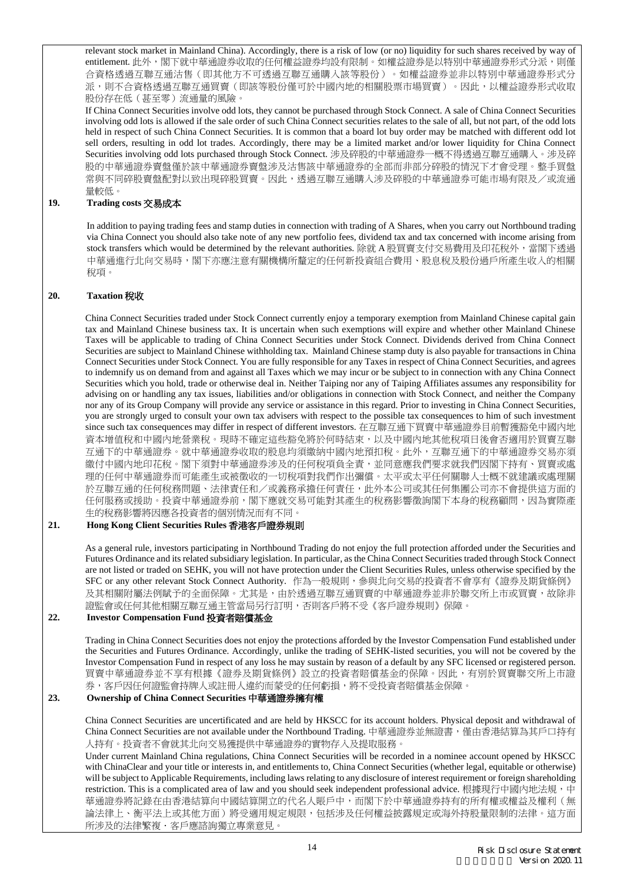relevant stock market in Mainland China). Accordingly, there is a risk of low (or no) liquidity for such shares received by way of entitlement. 此外,閣下就中華通證券收取的任何權益證券均設有限制。如權益證券是以特別中華通證券形式分派,則僅 合資格透過互聯互通沽售(即其他方不可透過互聯互通購入該等股份)。如權益證券並非以特別中華通證券形式分 派,則不合資格透過互聯互通買賣(即該等股份僅可於中國內地的相關股票市場買賣)。因此,以權益證券形式收取 股份存在低(甚至零)流通量的風險。

If China Connect Securities involve odd lots, they cannot be purchased through Stock Connect. A sale of China Connect Securities involving odd lots is allowed if the sale order of such China Connect securities relates to the sale of all, but not part, of the odd lots held in respect of such China Connect Securities. It is common that a board lot buy order may be matched with different odd lot sell orders, resulting in odd lot trades. Accordingly, there may be a limited market and/or lower liquidity for China Connect Securities involving odd lots purchased through Stock Connect. 涉及碎股的中華通證券一概不得透過互聯互通購入。涉及碎 股的中華通證券賣盤僅於該中華通證券賣盤涉及沽售該中華通證券的全部而非部分碎股的情況下才會受理。整手買盤 常與不同碎股賣盤配對以致出現碎股買賣。因此,透過互聯互通購入涉及碎股的中華通證券可能市場有限及/或流通 量較低。

### **19. Trading costs** 交易成本

In addition to paying trading fees and stamp duties in connection with trading of A Shares, when you carry out Northbound trading via China Connect you should also take note of any new portfolio fees, dividend tax and tax concerned with income arising from stock transfers which would be determined by the relevant authorities. 除就 A 股買賣支付交易費用及印花稅外,當閣下透過 中華通進行北向交易時,閣下亦應注意有關機構所釐定的任何新投資組合費用、股息稅及股份過戶所產生收入的相關 稅項。

### **20. Taxation** 稅收

China Connect Securities traded under Stock Connect currently enjoy a temporary exemption from Mainland Chinese capital gain tax and Mainland Chinese business tax. It is uncertain when such exemptions will expire and whether other Mainland Chinese Taxes will be applicable to trading of China Connect Securities under Stock Connect. Dividends derived from China Connect Securities are subject to Mainland Chinese withholding tax. Mainland Chinese stamp duty is also payable for transactions in China Connect Securities under Stock Connect. You are fully responsible for any Taxes in respect of China Connect Securities, and agrees to indemnify us on demand from and against all Taxes which we may incur or be subject to in connection with any China Connect Securities which you hold, trade or otherwise deal in. Neither Taiping nor any of Taiping Affiliates assumes any responsibility for advising on or handling any tax issues, liabilities and/or obligations in connection with Stock Connect, and neither the Company nor any of its Group Company will provide any service or assistance in this regard. Prior to investing in China Connect Securities, you are strongly urged to consult your own tax advisers with respect to the possible tax consequences to him of such investment since such tax consequences may differ in respect of different investors. 在互聯互通下買賣中華通證券目前暫獲豁免中國內地 資本增值稅和中國內地營業稅。現時不確定這些豁免將於何時結束,以及中國內地其他稅項日後會否適用於買賣互聯 互通下的中華通證券。就中華通證券收取的股息均須繳納中國內地預扣稅。此外,互聯互通下的中華通證券交易亦須 繳付中國內地印花稅。閣下須對中華通證券涉及的任何稅項負全責,並同意應我們要求就我們因閣下持有、買賣或處 理的任何中華通證券而可能產生或被徵收的一切稅項對我們作出彌償。太平或太平任何關聯人士概不就建議或處理關 於互聯互通的任何稅務問題、法律責任和/或義務承擔任何責任,此外本公司或其任何集團公司亦不會提供這方面的 任何服務或援助。投資中華通證券前,閣下應就交易可能對其產生的稅務影響徵詢閣下本身的稅務顧問,因為實際產 生的稅務影響將因應各投資者的個別情況而有不同。

### **21. Hong Kong Client Securities Rules** 香港客戶證券規則

As a general rule, investors participating in Northbound Trading do not enjoy the full protection afforded under the Securities and Futures Ordinance and its related subsidiary legislation. In particular, as the China Connect Securities traded through Stock Connect are not listed or traded on SEHK, you will not have protection under the Client Securities Rules, unless otherwise specified by the SFC or any other relevant Stock Connect Authority. 作為一般規則,參與北向交易的投資者不會享有《證券及期貨條例》 及其相關附屬法例賦予的全面保障。尤其是,由於透過互聯互通買賣的中華通證券並非於聯交所上市或買賣,故除非 證監會或任何其他相關互聯互通主管當局另行訂明,否則客戶將不受《客戶證券規則》保障。

### **22. Investor Compensation Fund** 投資者賠償基金

Trading in China Connect Securities does not enjoy the protections afforded by the Investor Compensation Fund established under the Securities and Futures Ordinance. Accordingly, unlike the trading of SEHK-listed securities, you will not be covered by the Investor Compensation Fund in respect of any loss he may sustain by reason of a default by any SFC licensed or registered person. 買賣中華通證券並不享有根據《證券及期貨條例》設立的投資者賠償基金的保障。因此,有別於買賣聯交所上市證 券,客戶因任何證監會持牌人或註冊人違約而蒙受的任何虧損,將不受投資者賠償基金保障。

# **23. Ownership of China Connect Securities** 中華通證券擁有權

China Connect Securities are uncertificated and are held by HKSCC for its account holders. Physical deposit and withdrawal of China Connect Securities are not available under the Northbound Trading. 中華通證券並無證書,僅由香港結算為其戶口持有 人持有。投資者不會就其北向交易獲提供中華通證券的實物存入及提取服務。

Under current Mainland China regulations, China Connect Securities will be recorded in a nominee account opened by HKSCC with ChinaClear and your title or interests in, and entitlements to, China Connect Securities (whether legal, equitable or otherwise) will be subject to Applicable Requirements, including laws relating to any disclosure of interest requirement or foreign shareholding restriction. This is a complicated area of law and you should seek independent professional advice. 根據現行中國內地法規,中 華通證券將記錄在由香港結算向中國結算開立的代名人賬戶中,而閣下於中華通證券持有的所有權或權益及權利(無 論法律上、衡平法上或其他方面)將受適用規定規限,包括涉及任何權益披露規定或海外持股量限制的法律。這方面 所涉及的法律繁複.客戶應諮詢獨立專業意見。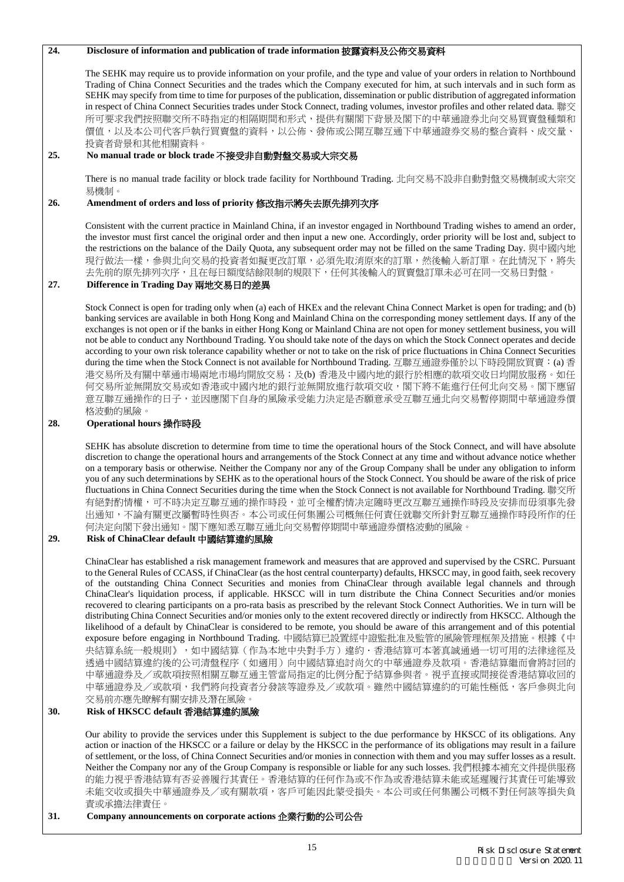### **24. Disclosure of information and publication of trade information** 披露資料及公佈交易資料

The SEHK may require us to provide information on your profile, and the type and value of your orders in relation to Northbound Trading of China Connect Securities and the trades which the Company executed for him, at such intervals and in such form as SEHK may specify from time to time for purposes of the publication, dissemination or public distribution of aggregated information in respect of China Connect Securities trades under Stock Connect, trading volumes, investor profiles and other related data. 聯交 所可要求我們按照聯交所不時指定的相隔期間和形式,提供有關閣下背景及閣下的中華通證券北向交易買賣盤種類和 價值,以及本公司代客戶執行買賣盤的資料,以公佈、發佈或公開互聯互通下中華通證券交易的整合資料、成交量、 投資者背景和其他相關資料。

### **25. No manual trade or block trade** 不接受非自動對盤交易或大宗交易

There is no manual trade facility or block trade facility for Northbound Trading. 北向交易不設非自動對盤交易機制或大宗交 易機制。

#### **26. Amendment of orders and loss of priority** 修改指示將失去原先排列次序

Consistent with the current practice in Mainland China, if an investor engaged in Northbound Trading wishes to amend an order, the investor must first cancel the original order and then input a new one. Accordingly, order priority will be lost and, subject to the restrictions on the balance of the Daily Quota, any subsequent order may not be filled on the same Trading Day. 與中國內地 現行做法一樣,參與北向交易的投資者如擬更改訂單,必須先取消原來的訂單,然後輸入新訂單。在此情況下,將失 去先前的原先排列次序,且在每日額度結餘限制的規限下,任何其後輸入的買賣盤訂單未必可在同一交易日對盤。

### **27. Difference in Trading Day** 兩地交易日的差異

Stock Connect is open for trading only when (a) each of HKEx and the relevant China Connect Market is open for trading; and (b) banking services are available in both Hong Kong and Mainland China on the corresponding money settlement days. If any of the exchanges is not open or if the banks in either Hong Kong or Mainland China are not open for money settlement business, you will not be able to conduct any Northbound Trading. You should take note of the days on which the Stock Connect operates and decide according to your own risk tolerance capability whether or not to take on the risk of price fluctuations in China Connect Securities during the time when the Stock Connect is not available for Northbound Trading. 互聯互通證券僅於以下時段開放買賣: (a) 香 港交易所及有關中華通市場兩地市場均開放交易;及(b) 香港及中國內地的銀行於相應的款項交收日均開放服務。如任 何交易所並無開放交易或如香港或中國內地的銀行並無開放進行款項交收,閣下將不能進行任何北向交易。閣下應留 意互聯互通操作的日子,並因應閣下自身的風險承受能力決定是否願意承受互聯互通北向交易暫停期間中華通證券價 格波動的風險。

### **28. Operational hours** 操作時段

SEHK has absolute discretion to determine from time to time the operational hours of the Stock Connect, and will have absolute discretion to change the operational hours and arrangements of the Stock Connect at any time and without advance notice whether on a temporary basis or otherwise. Neither the Company nor any of the Group Company shall be under any obligation to inform you of any such determinations by SEHK as to the operational hours of the Stock Connect. You should be aware of the risk of price fluctuations in China Connect Securities during the time when the Stock Connect is not available for Northbound Trading. 聯交所 有絕對酌情權,可不時决定互聯互通的操作時段,並可全權酌情决定隨時更改互聯互通操作時段及安排而毋須事先發 出通知,不論有關更改屬暫時性與否。本公司或任何集團公司概無任何責任就聯交所針對互聯互通操作時段所作的任 何決定向閣下發出通知。閣下應知悉互聯互通北向交易暫停期間中華通證券價格波動的風險。

### **29. Risk of ChinaClear default** 中國結算違約風險

ChinaClear has established a risk management framework and measures that are approved and supervised by the CSRC. Pursuant to the General Rules of CCASS, if ChinaClear (as the host central counterparty) defaults, HKSCC may, in good faith, seek recovery of the outstanding China Connect Securities and monies from ChinaClear through available legal channels and through ChinaClear's liquidation process, if applicable. HKSCC will in turn distribute the China Connect Securities and/or monies recovered to clearing participants on a pro-rata basis as prescribed by the relevant Stock Connect Authorities. We in turn will be distributing China Connect Securities and/or monies only to the extent recovered directly or indirectly from HKSCC. Although the likelihood of a default by ChinaClear is considered to be remote, you should be aware of this arrangement and of this potential exposure before engaging in Northbound Trading. 中國結算已設置經中證監批准及監管的風險管理框架及措施。根據《中 央結算系統一般規則》,如中國結算(作為本地中央對手方)違約.香港結算可本著真誠通過一切可用的法律途徑及 透過中國結算違約後的公司清盤程序(如適用)向中國結算追討尚欠的中華通證券及款項。香港結算繼而會將討回的 中華通證券及/或款項按照相關互聯互通主管當局指定的比例分配予結算參與者。視乎直接或間接從香港結算收回的 中華通證券及/或款項,我們將向投資者分發該等證券及/或款項。雖然中國結算違約的可能性極低,客戶參與北向 交易前亦應先瞭解有關安排及潛在風險

### **30. Risk of HKSCC default** 香港結算違約風險

Our ability to provide the services under this Supplement is subject to the due performance by HKSCC of its obligations. Any action or inaction of the HKSCC or a failure or delay by the HKSCC in the performance of its obligations may result in a failure of settlement, or the loss, of China Connect Securities and/or monies in connection with them and you may suffer losses as a result. Neither the Company nor any of the Group Company is responsible or liable for any such losses. 我們根據本補充文件提供服務 的能力視乎香港結算有否妥善履行其責任。香港結算的任何作為或不作為或香港結算未能或延遲履行其責任可能導致 未能交收或損失中華通證券及/或有關款項,客戶可能因此蒙受損失。本公司或任何集團公司概不對任何該等損失負 責或承擔法律責任。

#### **31. Company announcements on corporate actions** 企業行動的公司公告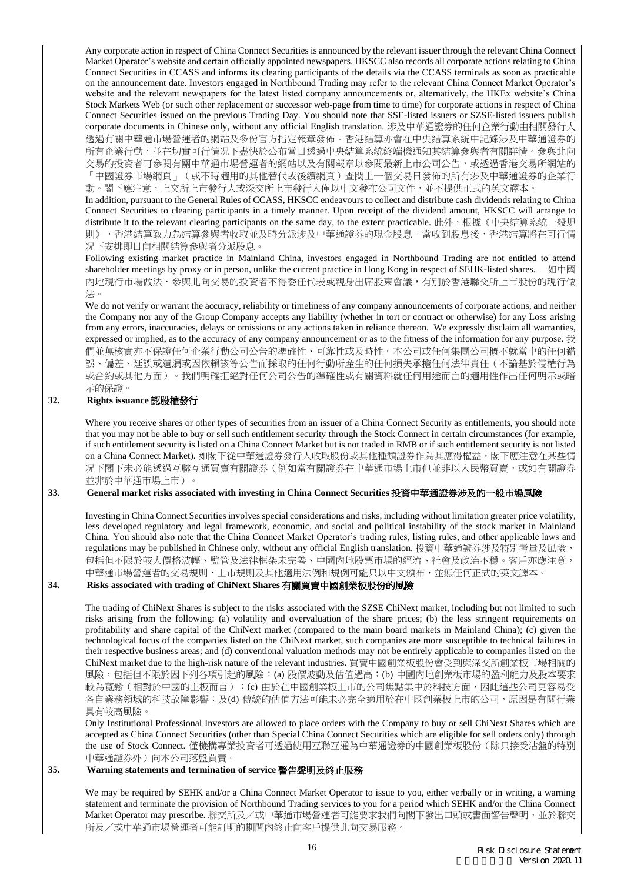Any corporate action in respect of China Connect Securities is announced by the relevant issuer through the relevant China Connect Market Operator's website and certain officially appointed newspapers. HKSCC also records all corporate actions relating to China Connect Securities in CCASS and informs its clearing participants of the details via the CCASS terminals as soon as practicable on the announcement date. Investors engaged in Northbound Trading may refer to the relevant China Connect Market Operator's website and the relevant newspapers for the latest listed company announcements or, alternatively, the HKEx website's China Stock Markets Web (or such other replacement or successor web-page from time to time) for corporate actions in respect of China Connect Securities issued on the previous Trading Day. You should note that SSE-listed issuers or SZSE-listed issuers publish corporate documents in Chinese only, without any official English translation. 涉及中華通證券的任何企業行動由相關發行人 透過有關中華通市場營運者的網站及多份官方指定報章發佈。香港結算亦會在中央結算系統中記錄涉及中華通證券的 所有企業行動,並在切實可行情况下盡快於公布當日透過中央結算系統終端機通知其結算參與者有關詳情。參與北向 交易的投資者可參閱有關中華通市場營運者的網站以及有關報章以參閱最新上市公司公告,或透過香港交易所網站的 「中國證券市場網頁」(或不時適用的其他替代或後續網頁)查閱上一個交易日發佈的所有涉及中華通證券的企業行 動。閣下應注意,上交所上市發行人或深交所上市發行人僅以中文發布公司文件,並不提供正式的英文譯本。

In addition, pursuant to the General Rules of CCASS, HKSCC endeavours to collect and distribute cash dividends relating to China Connect Securities to clearing participants in a timely manner. Upon receipt of the dividend amount, HKSCC will arrange to distribute it to the relevant clearing participants on the same day, to the extent practicable. 此外, 根據《中央結算系統一般規 則》,香港結算致力為結算參與者收取並及時分派涉及中華通證券的現金股息。當收到股息後,香港結算將在可行情 况下安排即日向相關結算參與者分派股息。

Following existing market practice in Mainland China, investors engaged in Northbound Trading are not entitled to attend shareholder meetings by proxy or in person, unlike the current practice in Hong Kong in respect of SEHK-listed shares. 一如中國 內地現行市場做法.參與北向交易的投資者不得委任代表或親身出席股東會議,有別於香港聯交所上市股份的現行做 法。

We do not verify or warrant the accuracy, reliability or timeliness of any company announcements of corporate actions, and neither the Company nor any of the Group Company accepts any liability (whether in tort or contract or otherwise) for any Loss arising from any errors, inaccuracies, delays or omissions or any actions taken in reliance thereon. We expressly disclaim all warranties, expressed or implied, as to the accuracy of any company announcement or as to the fitness of the information for any purpose. 我 們並無核實亦不保證任何企業行動公司公告的準確性、可靠性或及時性。本公司或任何集團公司概不就當中的任何錯 誤、偏差、延誤或遺漏或因依賴該等公告而採取的任何行動所産生的任何損失承擔任何法律責任(不論基於侵權行為 或合約或其他方面)。我們明確拒絕對任何公司公告的準確性或有關資料就任何用途而言的適用性作出任何明示或暗 示的保證。

# **32. Rights issuance** 認股權發行

Where you receive shares or other types of securities from an issuer of a China Connect Security as entitlements, you should note that you may not be able to buy or sell such entitlement security through the Stock Connect in certain circumstances (for example, if such entitlement security is listed on a China Connect Market but is not traded in RMB or if such entitlement security is not listed on a China Connect Market). 如閣下從中華通證券發行人收取股份或其他種類證券作為其應得權益,閣下應注意在某些情 况下閣下未必能透過互聯互通買賣有關證券(例如當有關證券在中華通市場上市但並非以人民幣買賣,或如有關證券 並非於中華通市場上市)。

### **33. General market risks associated with investing in China Connect Securities** 投資中華通證券涉及的一般市場風險

Investing in China Connect Securities involves special considerations and risks, including without limitation greater price volatility, less developed regulatory and legal framework, economic, and social and political instability of the stock market in Mainland China. You should also note that the China Connect Market Operator's trading rules, listing rules, and other applicable laws and regulations may be published in Chinese only, without any official English translation. 投資中華通證券涉及特別考量及風險, 包括但不限於較大價格波幅、監管及法律框架未完善、中國內地股票市場的經濟、社會及政治不穩。客戶亦應注意, 中華通市場營運者的交易規則、上市規則及其他適用法例和規例可能只以中文頒布,並無任何正式的英文譯本。

### **34. Risks associated with trading of ChiNext Shares** 有關買賣中國創業板股份的風險

The trading of ChiNext Shares is subject to the risks associated with the SZSE ChiNext market, including but not limited to such risks arising from the following: (a) volatility and overvaluation of the share prices; (b) the less stringent requirements on profitability and share capital of the ChiNext market (compared to the main board markets in Mainland China); (c) given the technological focus of the companies listed on the ChiNext market, such companies are more susceptible to technical failures in their respective business areas; and (d) conventional valuation methods may not be entirely applicable to companies listed on the ChiNext market due to the high-risk nature of the relevant industries. 買賣中國創業板股份會受到與深交所創業板市場相關的 風險,包括但不限於因下列各項引起的風險: (a) 股價波動及估值過高; (b) 中國內地創業板市場的盈利能力及股本要求 較為寬鬆 (相對於中國的主板而言); (c) 由於在中國創業板上市的公司焦點集中於科技方面, 因此這些公司更容易受 各自業務領域的科技故障影響;及(d) 傳統的估值方法可能未必完全適用於在中國創業板上市的公司,原因是有關行業 具有較高風險。

Only Institutional Professional Investors are allowed to place orders with the Company to buy or sell ChiNext Shares which are accepted as China Connect Securities (other than Special China Connect Securities which are eligible for sell orders only) through the use of Stock Connect. 僅機構專業投資者可透過使用互聯互通為中華通證券的中國創業板股份(除只接受沽盤的特別 中華通證券外)向本公司落盤買賣。

### **35. Warning statements and termination of service** 警告聲明及終止服務

We may be required by SEHK and/or a China Connect Market Operator to issue to you, either verbally or in writing, a warning statement and terminate the provision of Northbound Trading services to you for a period which SEHK and/or the China Connect Market Operator may prescribe. 聯交所及/或中華通市場營運者可能要求我們向閣下發出口頭或書面警告聲明, 並於聯交 所及/或中華通市場營運者可能訂明的期間內終止向客戶提供北向交易服務。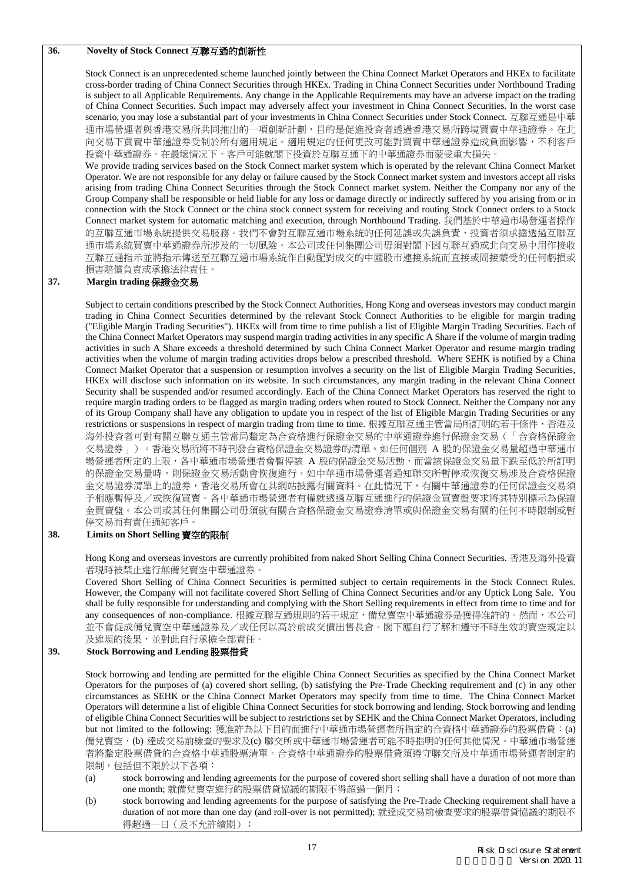## **36. Novelty of Stock Connect** 互聯互通的創新性

Stock Connect is an unprecedented scheme launched jointly between the China Connect Market Operators and HKEx to facilitate cross-border trading of China Connect Securities through HKEx. Trading in China Connect Securities under Northbound Trading is subject to all Applicable Requirements. Any change in the Applicable Requirements may have an adverse impact on the trading of China Connect Securities. Such impact may adversely affect your investment in China Connect Securities. In the worst case scenario, you may lose a substantial part of your investments in China Connect Securities under Stock Connect. 互聯互通是中華 通市場營運者與香港交易所共同推出的一項創新計劃,目的是促進投資者透過香港交易所跨境買賣中華通證券。在北 向交易下買賣中華通證券受制於所有適用規定。適用規定的任何更改可能對買賣中華通證券造成負面影響,不利客戶 投資中華通證券。在最壞情况下,客戶可能就閣下投資於互聯互通下的中華通證券而蒙受重大損失。

We provide trading services based on the Stock Connect market system which is operated by the relevant China Connect Market Operator. We are not responsible for any delay or failure caused by the Stock Connect market system and investors accept all risks arising from trading China Connect Securities through the Stock Connect market system. Neither the Company nor any of the Group Company shall be responsible or held liable for any loss or damage directly or indirectly suffered by you arising from or in connection with the Stock Connect or the china stock connect system for receiving and routing Stock Connect orders to a Stock Connect market system for automatic matching and execution, through Northbound Trading. 我們基於中華通市場營運者操作 的互聯互通市場系統提供交易服務。我們不會對互聯互通市場系統的任何延誤或失誤負責,投資者須承擔透過互聯互 通市場系統買賣中華通證券所涉及的一切風險。本公司或任何集團公司毋須對閣下因互聯互通或北向交易中用作接收 互聯互通指示並將指示傳送至互聯互通市場系統作自動配對成交的中國股市連接系統而直接或間接蒙受的任何虧損或 損害賠償負責或承擔法律責任。

### **37. Margin trading** 保證金交易

Subject to certain conditions prescribed by the Stock Connect Authorities, Hong Kong and overseas investors may conduct margin trading in China Connect Securities determined by the relevant Stock Connect Authorities to be eligible for margin trading ("Eligible Margin Trading Securities"). HKEx will from time to time publish a list of Eligible Margin Trading Securities. Each of the China Connect Market Operators may suspend margin trading activities in any specific A Share if the volume of margin trading activities in such A Share exceeds a threshold determined by such China Connect Market Operator and resume margin trading activities when the volume of margin trading activities drops below a prescribed threshold. Where SEHK is notified by a China Connect Market Operator that a suspension or resumption involves a security on the list of Eligible Margin Trading Securities, HKEx will disclose such information on its website. In such circumstances, any margin trading in the relevant China Connect Security shall be suspended and/or resumed accordingly. Each of the China Connect Market Operators has reserved the right to require margin trading orders to be flagged as margin trading orders when routed to Stock Connect. Neither the Company nor any of its Group Company shall have any obligation to update you in respect of the list of Eligible Margin Trading Securities or any restrictions or suspensions in respect of margin trading from time to time. 根據互聯互通主管當局所訂明的若干條件, 香港及 海外投資者可對有關互聯互通主管當局釐定為合資格進行保證金交易的中華通證券進行保證金交易(「合資格保證金 交易證券」)。香港交易所將不時刊發合資格保證金交易證券的清單。如任何個別 A 股的保證金交易量超過中華通市 場營運者所定的上限,各中華通市場營運者會暫停該 A 股的保證金交易活動,而當該保證金交易量下跌至低於所訂明 的保證金交易量時,則保證金交易活動會恢復進行。如中華通市場營運者通知聯交所暫停或恢復交易涉及合資格保證 金交易證券清單上的證券,香港交易所會在其網站披露有關資料。在此情況下,有關中華通證券的任何保證金交易須 予相應暫停及/或恢復買賣。各中華通市場營運者有權就透過互聯互通進行的保證金買賣盤要求將其特別標示為保證 金買賣盤。本公司或其任何集團公司毋須就有關合資格保證金交易證券清單或與保證金交易有關的任何不時限制或暫 停交易而有責任通知客戶。

#### **38. Limits on Short Selling** 賣空的限制

Hong Kong and overseas investors are currently prohibited from naked Short Selling China Connect Securities. 香港及海外投資 者現時被禁止進行無備兌賣空中華通證券。

Covered Short Selling of China Connect Securities is permitted subject to certain requirements in the Stock Connect Rules. However, the Company will not facilitate covered Short Selling of China Connect Securities and/or any Uptick Long Sale. You shall be fully responsible for understanding and complying with the Short Selling requirements in effect from time to time and for any consequences of non-compliance. 根據互聯互通規則的若干規定,備兌賣空中華通證券是獲得准許的。然而,本公司 並不會促成備兌賣空中華通證券及/或任何以高於前成交價出售長倉。閣下應自行了解和遵守不時生效的賣空規定以 及違規的後果,並對此自行承擔全部責任。

### **39. Stock Borrowing and Lending** 股票借貸

Stock borrowing and lending are permitted for the eligible China Connect Securities as specified by the China Connect Market Operators for the purposes of (a) covered short selling, (b) satisfying the Pre-Trade Checking requirement and (c) in any other circumstances as SEHK or the China Connect Market Operators may specify from time to time. The China Connect Market Operators will determine a list of eligible China Connect Securities for stock borrowing and lending. Stock borrowing and lending of eligible China Connect Securities will be subject to restrictions set by SEHK and the China Connect Market Operators, including but not limited to the following: 獲准許為以下目的而進行中華通市場營運者所指定的合資格中華通證券的股票借貸: (a) 備兌賣空,(b) 達成交易前檢查的要求及(c) 聯交所或中華通市場營運者可能不時指明的任何其他情況。中華通市場營運 者將釐定股票借貸的合資格中華通股票清單。合資格中華通證券的股票借貸須遵守聯交所及中華通市場營運者制定的 限制,包括但不限於以下各項:

- (a) stock borrowing and lending agreements for the purpose of covered short selling shall have a duration of not more than one month; 就備兌賣空進行的股票借貸協議的期限不得超過一個月;
- (b) stock borrowing and lending agreements for the purpose of satisfying the Pre-Trade Checking requirement shall have a duration of not more than one day (and roll-over is not permitted); 就達成交易前檢查要求的股票借貸協議的期限不 得超過一日(及不允許續期);